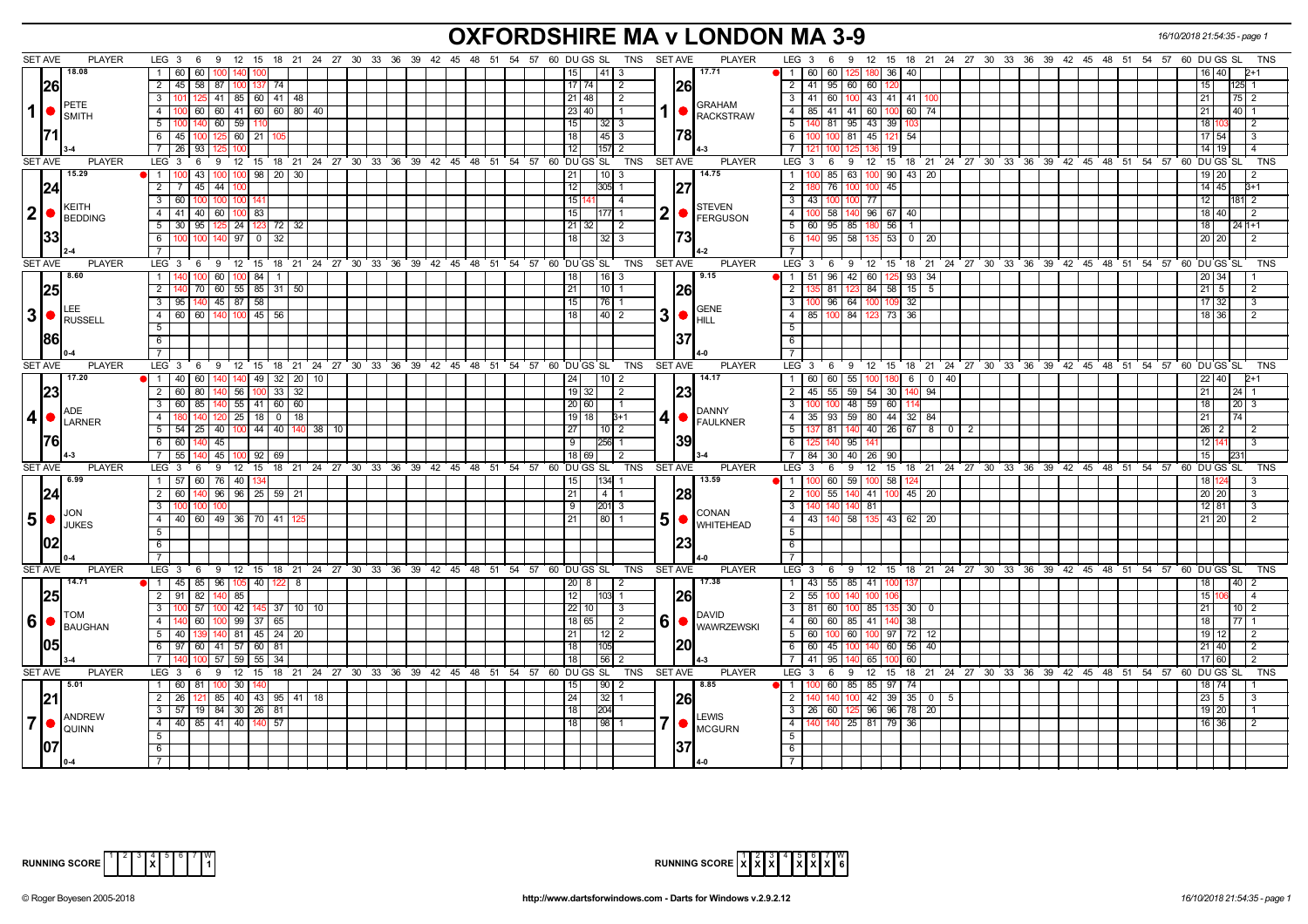# **OXFORDSHIRE MA v LONDON MA 3-9** *16/10/2018 21:54:35 - page 1*

| <b>SET AVE</b>   |      | <b>PLAYER</b>                         | LEG $3 \quad 6$<br>9 12 15 18 21 24 27 30 33 36 39 42 45 48 51 54 57 60 DUGS SL       |              |              |  |  |                                           |  |                  |                             | TNS        | SET AVE        | <b>PLAYER</b>                     | $LEG_3 6$<br>9 12 15 18 21 24 27 30 33 36 39 42 45 48 51 54 57 60 DUGS SL            |                 |                                                                       |  |  |  |  |                 | TNS             |
|------------------|------|---------------------------------------|---------------------------------------------------------------------------------------|--------------|--------------|--|--|-------------------------------------------|--|------------------|-----------------------------|------------|----------------|-----------------------------------|--------------------------------------------------------------------------------------|-----------------|-----------------------------------------------------------------------|--|--|--|--|-----------------|-----------------|
|                  |      | 18.08                                 | 1 60<br>60                                                                            |              |              |  |  |                                           |  |                  | 41  3<br>15 <sup>1</sup>    |            |                | 17.71                             | 60 60<br>$\overline{1}$<br>180 36                                                    | 40              |                                                                       |  |  |  |  | 16   40         | 2+1             |
|                  | 26   |                                       | 2 45 58 87 100 137                                                                    | 174          |              |  |  |                                           |  |                  | 17 74 <br>$\sqrt{2}$        |            | <b>26</b>      |                                   | 2 41 95 60 60 120                                                                    |                 |                                                                       |  |  |  |  | 15 <sub>1</sub> | 125 1           |
|                  |      |                                       | 3 <sup>1</sup><br>41   85   60   41   48  <br>125                                     |              |              |  |  |                                           |  |                  | $21 \mid 48$<br>l 2         |            |                |                                   | 3 41 60<br>43 41<br>100                                                              | 41   10         |                                                                       |  |  |  |  | 21 <sup>1</sup> | $75$   2        |
| $\mathbf 1$      |      | PETE<br><b>I</b> SMITH                | 60 60 41 60 60 80 40<br>4 100                                                         |              |              |  |  |                                           |  |                  | 23 40<br>I 1                |            | 1  ●           | <b>GRAHAM</b><br><b>RACKSTRAW</b> | 85 41 41 60 100<br>4                                                                 | $60$ 74         |                                                                       |  |  |  |  | 21              | 40   1          |
|                  |      |                                       | $5 \mid 100 \mid 140 \mid 60 \mid 59 \mid 110$                                        |              |              |  |  |                                           |  |                  | 15<br>$32 \mid 3$           |            |                |                                   | $-5$<br>140 81 95 43 39                                                              |                 |                                                                       |  |  |  |  | 18 1            |                 |
|                  |      |                                       | $6 \mid 45$<br>100 125 60 21                                                          |              |              |  |  |                                           |  | $\overline{18}$  | 45 3                        |            | 1781           |                                   | <b>6</b><br>100 100 81 45 121                                                        | 54              |                                                                       |  |  |  |  | 17 54           | l 3             |
|                  |      |                                       | 93<br>7 26                                                                            |              |              |  |  |                                           |  | 12               | $157$ 2                     |            |                |                                   | $\overline{7}$<br>19                                                                 |                 |                                                                       |  |  |  |  | 14 19           | $\overline{4}$  |
| <b>SET AVE</b>   |      | <b>PLAYER</b>                         | 9 12 15 18 21 24 27 30 33 36 39 42 45 48 51 54 57 60 DUGSSL<br>$LEG_3$ 6              |              |              |  |  |                                           |  |                  |                             | TNS        | SET AVE        | <b>PLAYER</b>                     | ່ 6 9 12 15 18 21 24 27 30 33 36 39 42 45 48 51 54 57 60 DUGS SL<br>LEG <sub>3</sub> |                 |                                                                       |  |  |  |  |                 | <b>TNS</b>      |
|                  |      | 15.29                                 | 43   100   100   98   20   30<br>1100                                                 |              |              |  |  |                                           |  | 21               | $10$ 3                      |            |                | 14.75                             | 100 90 43 20<br>$85 \mid 63$<br>$\overline{1}$                                       |                 |                                                                       |  |  |  |  | 19 20           |                 |
|                  | 124  |                                       | $2 \mid 7$<br>$45 \mid 44 \mid$                                                       |              |              |  |  |                                           |  | 12               | 305 1                       |            | 127            |                                   | $\overline{2}$<br>$100 - 45$<br>76 I<br>1በበ                                          |                 |                                                                       |  |  |  |  | $14$ 45         | $3+1$           |
|                  |      |                                       | $3 \mid 60$<br>100 100 100                                                            | $14^{\circ}$ |              |  |  |                                           |  | 15               | $\vert$ 4                   |            |                |                                   | $\overline{\mathbf{3}}$<br>43 100<br>77<br>100                                       |                 |                                                                       |  |  |  |  | 12 <sub>1</sub> | 181 2           |
|                  |      | KEITH<br>$2$ $\bullet$ <b>BEDDING</b> | 4 41 40 60<br>100 83                                                                  |              |              |  |  |                                           |  | 15               | 177 1                       | 2          |                | <b>STEVEN</b><br>FERGUSON         | $\overline{4}$<br>58<br>96 67<br>140                                                 | 40              |                                                                       |  |  |  |  | 18 40           | l 2             |
|                  |      |                                       | 5 30<br>95<br>125 24 123 72 32                                                        |              |              |  |  |                                           |  | 21               | l 2<br>32                   |            |                |                                   | 5<br>60   95  <br>85<br>180 56                                                       | -1              |                                                                       |  |  |  |  | 18              | $241+1$         |
|                  | 133  |                                       | 6 100<br>100<br>$140$ 97 0                                                            | $\sqrt{32}$  |              |  |  |                                           |  | 18               | $32$ 3                      |            |                |                                   | $140$ 95 58<br>$\overline{6}$<br>135 53                                              | $0$   20        |                                                                       |  |  |  |  | 20 20           |                 |
|                  |      |                                       | 7 I                                                                                   |              |              |  |  |                                           |  |                  |                             |            |                |                                   |                                                                                      |                 |                                                                       |  |  |  |  |                 |                 |
| SET AVE          |      | <b>PLAYER</b>                         | $LEG_3$ 6<br>9 12 15 18 21 24 27 30 33 36 39 42 45 48 51 54 57 60 DUGSSL              |              |              |  |  |                                           |  |                  |                             | TNS        | SET AVE        | <b>PLAYER</b>                     | LEG 3 6 9 12 15 18 21 24 27 30 33 36 39 42 45 48 51 54 57 60 DUGS SL                 |                 |                                                                       |  |  |  |  |                 | <b>TNS</b>      |
|                  |      | 8.60                                  | $1 \overline{1}$ 140<br>$60$ 100 84 1                                                 |              |              |  |  |                                           |  |                  | $ 16 $ 3<br>18              |            |                | 9.15                              | 42<br>60 125<br>$\sqrt{1}$<br>$51$ 96                                                | $93 \mid 34$    |                                                                       |  |  |  |  | 20 34           |                 |
|                  |      |                                       | 2 140<br>70 60 55 85 31 50                                                            |              |              |  |  |                                           |  | $\sqrt{21}$      | l 10 I 1                    |            | 1261           |                                   | $\overline{2}$<br>$84$ 58<br>135 81                                                  | $15$ 5          |                                                                       |  |  |  |  | $21 \mid 5$     | <u>2</u>        |
|                  |      | LEE.                                  | $3$   95   140   45   87   58                                                         |              |              |  |  |                                           |  | 15               | $76$   1                    |            |                | <b>GENE</b>                       | $\overline{\mathbf{3}}$<br>100 96 64<br>100 109                                      | 32              |                                                                       |  |  |  |  | 17 32           | 3               |
| 3                |      | <b>RUSSELL</b>                        | 4 60 60 140 100 45 56                                                                 |              |              |  |  |                                           |  | $\overline{18}$  | 40 2                        | 3          | $\bullet$      | <b>HILL</b>                       | 85 100 84 123 73<br>$-4$                                                             | 36              |                                                                       |  |  |  |  | 18 36           | $\sqrt{2}$      |
|                  |      |                                       | 5 <sub>1</sub>                                                                        |              |              |  |  |                                           |  |                  |                             |            |                |                                   | $-5$                                                                                 |                 |                                                                       |  |  |  |  |                 |                 |
|                  | 1861 |                                       | $6\overline{6}$                                                                       |              |              |  |  |                                           |  |                  |                             |            | 137            |                                   | 6                                                                                    |                 |                                                                       |  |  |  |  |                 |                 |
|                  |      |                                       | $\overline{7}$                                                                        |              |              |  |  |                                           |  |                  |                             |            |                |                                   | $\overline{7}$                                                                       |                 |                                                                       |  |  |  |  |                 |                 |
| <b>SET AVE</b>   |      | <b>PLAYER</b>                         | LEG <sub>3</sub><br>9 12 15 18 21 24 27 30 33 36 39 42 45 48 51 54 57 60 DUGS SL<br>6 |              |              |  |  |                                           |  |                  |                             | TNS        | SET AVE        | <b>PLAYER</b>                     | 9 12 15 18 21 24 27 30 33 36 39 42 45 48 51 54 57 60 DUGS SL<br>$LEG_3$ 6            |                 |                                                                       |  |  |  |  |                 | <b>TNS</b>      |
|                  |      | 17.20                                 | $\bullet$   1   40   60   140   140   49   32   20   10                               |              |              |  |  |                                           |  |                  | 24<br>  10   2              |            |                | 14.17                             | $60$   60   55   100   180   6   0   40<br>1 <sup>1</sup>                            |                 |                                                                       |  |  |  |  | 22 40           | $2+1$           |
|                  | 23   |                                       | 2 60 80<br>0 56 100                                                                   |              | $33 \mid 32$ |  |  |                                           |  |                  | $19$ 32<br>$\sqrt{2}$       |            | 23             |                                   | 59 54 30<br>$\sqrt{2}$<br>$45 \mid 55$                                               | 140 I           | 94                                                                    |  |  |  |  | 21 <sup>1</sup> | $24 \mid 1$     |
|                  |      | ADE                                   | 3   60   85<br>$140$ 55 41 60 60<br>$120$ 25 18 0 18<br>4 180<br>140                  |              |              |  |  |                                           |  |                  | 20   60  <br>$\vert$ 1      |            |                | DANNY                             | 100 100 48 59 60<br>$\sqrt{3}$<br>35   93   59   80   44   32   84<br>$-4$           |                 |                                                                       |  |  |  |  | 18              | 20 <sub>3</sub> |
| $\boldsymbol{4}$ |      | LARNER                                | $5 \mid 54 \mid 25 \mid 40 \mid 100 \mid 44 \mid 40 \mid 140 \mid 38 \mid 10$         |              |              |  |  |                                           |  |                  | 19   18  <br>$B+1$          | 4          |                | $\bullet$ <b>FAULKNER</b>         | $137$   81   140   40   26   67   8   0   2<br>$-5$                                  |                 |                                                                       |  |  |  |  | 21 <sup>1</sup> |                 |
|                  | 1761 |                                       | 6 60 140<br>45                                                                        |              |              |  |  |                                           |  | 27<br>$\sqrt{9}$ | $10$   2<br>256 1           |            | 39             |                                   | 6<br>125 140 95 141                                                                  |                 |                                                                       |  |  |  |  | 26 2<br>12 14   | l 2<br>l 3      |
|                  |      |                                       | 7 55 140 45 100 92 69                                                                 |              |              |  |  |                                           |  |                  | 18 69<br>l 2                |            |                |                                   | $\overline{7}$<br>84 30 40 26 90                                                     |                 |                                                                       |  |  |  |  | 15 <sup>1</sup> |                 |
| <b>SET AVE</b>   |      | PLAYER                                | 9 12 15 18 21 24 27 30 33 36 39 42 45 48 51 54 57 60 DUGSSL<br>LEG $3 \quad 6$        |              |              |  |  |                                           |  |                  |                             | TNS        | <b>SET AVE</b> | <b>PLAYER</b>                     | LEG 3<br>6<br>9 12 15 18 21 24 27 30 33 36 39 42 45 48 51 54 57 60 DUGS SL           |                 |                                                                       |  |  |  |  |                 | TNS             |
|                  |      | 6.99                                  | 1 57 60 76 40 134                                                                     |              |              |  |  |                                           |  | 15               | $134$ 1                     |            |                | 13.59                             | $\overline{1}$<br>100 60<br>59<br>100 58                                             | 124             |                                                                       |  |  |  |  | 18   1          |                 |
|                  | 24   |                                       | 2 60 140<br>$96$   $96$   $25$   $59$   $21$                                          |              |              |  |  |                                           |  | 21               | 4   1                       |            | <b>128</b>     |                                   | 55<br>$\overline{2}$<br>140<br>41 100                                                | $45 \mid 20$    |                                                                       |  |  |  |  | 20 20           |                 |
|                  |      |                                       | 3 I<br>100                                                                            |              |              |  |  |                                           |  | -9               | 201 3                       |            |                |                                   | <b>3</b><br>140 81                                                                   |                 |                                                                       |  |  |  |  | 12 81           |                 |
| 5 <sub>1</sub>   |      | JON                                   | 4 4 40 60 49 36 70 41                                                                 |              |              |  |  |                                           |  | 21               | 80 1                        | 5          |                | <b>CONAN</b>                      | $\overline{4}$<br>43   140   58   135   43   62   20                                 |                 |                                                                       |  |  |  |  | 21 20           |                 |
|                  |      | JUKES                                 | 5                                                                                     |              |              |  |  |                                           |  |                  |                             |            |                | $\bullet$ WHITEHEAD               | $-5$                                                                                 |                 |                                                                       |  |  |  |  |                 |                 |
|                  |      |                                       | 6                                                                                     |              |              |  |  |                                           |  |                  |                             |            | 123            |                                   | <b>6</b>                                                                             |                 |                                                                       |  |  |  |  |                 |                 |
|                  |      |                                       | $7\phantom{.0}$                                                                       |              |              |  |  |                                           |  |                  |                             |            |                |                                   |                                                                                      |                 |                                                                       |  |  |  |  |                 |                 |
| <b>SET AVE</b>   |      | <b>PLAYER</b>                         | $LEG_36$<br>9 12 15 18 21 24 27 30 33 36 39 42 45 48 51 54 57 60 DUGS SL              |              |              |  |  |                                           |  |                  |                             | <b>TNS</b> | SET AVE        | <b>PLAYER</b>                     | $LEG_3$ 6<br>9 12 15 18 21 24 27 30 33 36 39 42 45 48 51 54 57 60 DUGS SL            |                 |                                                                       |  |  |  |  |                 | <b>TNS</b>      |
|                  |      | 14.71                                 | $\bullet$ 1 45 85 96                                                                  | 105  40      | 8            |  |  |                                           |  |                  | 20 <sub>l</sub><br>-8<br>-2 |            |                | 17.38                             | $\overline{1}$<br>43   55   85   41   100                                            | 137             |                                                                       |  |  |  |  | 18              |                 |
|                  |      |                                       | $2 \mid 91$<br>82<br>140 85                                                           |              |              |  |  |                                           |  |                  | 12<br>$103$ 1               |            | <b>26</b>      |                                   | $\overline{2}$<br>55 100<br>140<br>$100 -$                                           |                 |                                                                       |  |  |  |  | 15 <sup>1</sup> |                 |
|                  |      |                                       | 57<br>100 42 145 37 10 10<br>$3 \mid 100$                                             |              |              |  |  |                                           |  | 22               | l 3<br>10                   |            |                |                                   | $\overline{\mathbf{3}}$<br>$81$ 60<br>85 1<br>100                                    | $30$ 0          |                                                                       |  |  |  |  | 21 <sup>1</sup> | $10$   2        |
| 6                |      | том<br>BAUGHAN                        | 4 I<br>60<br>100 99 37 65                                                             |              |              |  |  |                                           |  |                  | 18   65  <br>$\vert$ 2      | 6          |                | <b>DAVID</b><br>WAWRZEWSKI        | $\overline{4}$<br>60 I 60 I<br>85 41 1                                               | 38              |                                                                       |  |  |  |  | 18 <sup>1</sup> | 77.1            |
|                  |      |                                       | 140 81 45 24 20<br>$5 \mid 40$                                                        |              |              |  |  |                                           |  | 21               | $12$   2                    |            |                |                                   | $5\overline{)}$<br>60<br>60 100<br>100 97                                            | 72              | 12                                                                    |  |  |  |  | 19 12           | l 2             |
|                  |      |                                       | 6 97 60 41 57 60                                                                      | 81           |              |  |  |                                           |  | 18               | 105                         |            | <b>120</b>     |                                   | 6<br>60 45<br>100 I<br>140 60                                                        | 56              | 40                                                                    |  |  |  |  | 21 40           | l 2             |
|                  |      |                                       | 57   59   55  <br>71                                                                  | 34           |              |  |  |                                           |  | 18               | 56 2                        |            |                |                                   | 41   95  <br>65 100                                                                  | 60 <sup>1</sup> |                                                                       |  |  |  |  | 17 60           | l 2             |
| <b>SET AVE</b>   |      | <b>PLAYER</b>                         | LEG <sup>3</sup><br>6<br>- 9<br>12                                                    | ີ 15         |              |  |  | 18 21 24 27 30 33 36 39 42 45 48 51 54 57 |  |                  | 60 DU GS SL                 | TNS        | SET AVE        | <b>PLAYER</b>                     | LEG 3<br>12 15<br>6<br>9                                                             |                 | 18  21  24  27  30  33  36  39  42  45  48  51  54  57  60  DU GS  SL |  |  |  |  |                 | <b>TNS</b>      |
|                  |      | 5.01                                  | 1 60 81 100 30                                                                        |              |              |  |  |                                           |  | 15               | $\boxed{90}$ 2              |            |                | 8.85                              | 100 60 85 85 97<br>1 1 I                                                             | 74              |                                                                       |  |  |  |  | 18 74           |                 |
|                  |      |                                       | 2   26   121   85   40   43   95   41   18                                            |              |              |  |  |                                           |  | $\overline{24}$  | $32$   1                    |            | <b>126</b>     |                                   | 42 39 35 0 5<br>2<br>100                                                             |                 |                                                                       |  |  |  |  | $23$   5        | l 3             |
|                  |      | ANDREW                                | $3$   57   19   84   30   26   81                                                     |              |              |  |  |                                           |  | 18               | 204                         |            |                | <b>LEWIS</b>                      | 3   26   60   125   96   96   78   20                                                |                 |                                                                       |  |  |  |  | 19 20           |                 |
| $\overline{7}$   |      | <b>QUINN</b>                          | 4 40 85 41 40 140 57                                                                  |              |              |  |  |                                           |  | 18               | $98$   1                    | 7          | $\bullet$      | <b>MCGURN</b>                     | 140 140 25 81 79<br>$\sqrt{4}$                                                       | 36              |                                                                       |  |  |  |  | 16 36           | l 2             |
|                  |      |                                       | 5 <sup>1</sup>                                                                        |              |              |  |  |                                           |  |                  |                             |            |                |                                   | $-5$                                                                                 |                 |                                                                       |  |  |  |  |                 |                 |
|                  |      |                                       | 6                                                                                     |              |              |  |  |                                           |  |                  |                             |            | 137            |                                   | 6                                                                                    |                 |                                                                       |  |  |  |  |                 |                 |
|                  |      |                                       | 7 <sup>1</sup>                                                                        |              |              |  |  |                                           |  |                  |                             |            |                |                                   | $\overline{7}$                                                                       |                 |                                                                       |  |  |  |  |                 |                 |

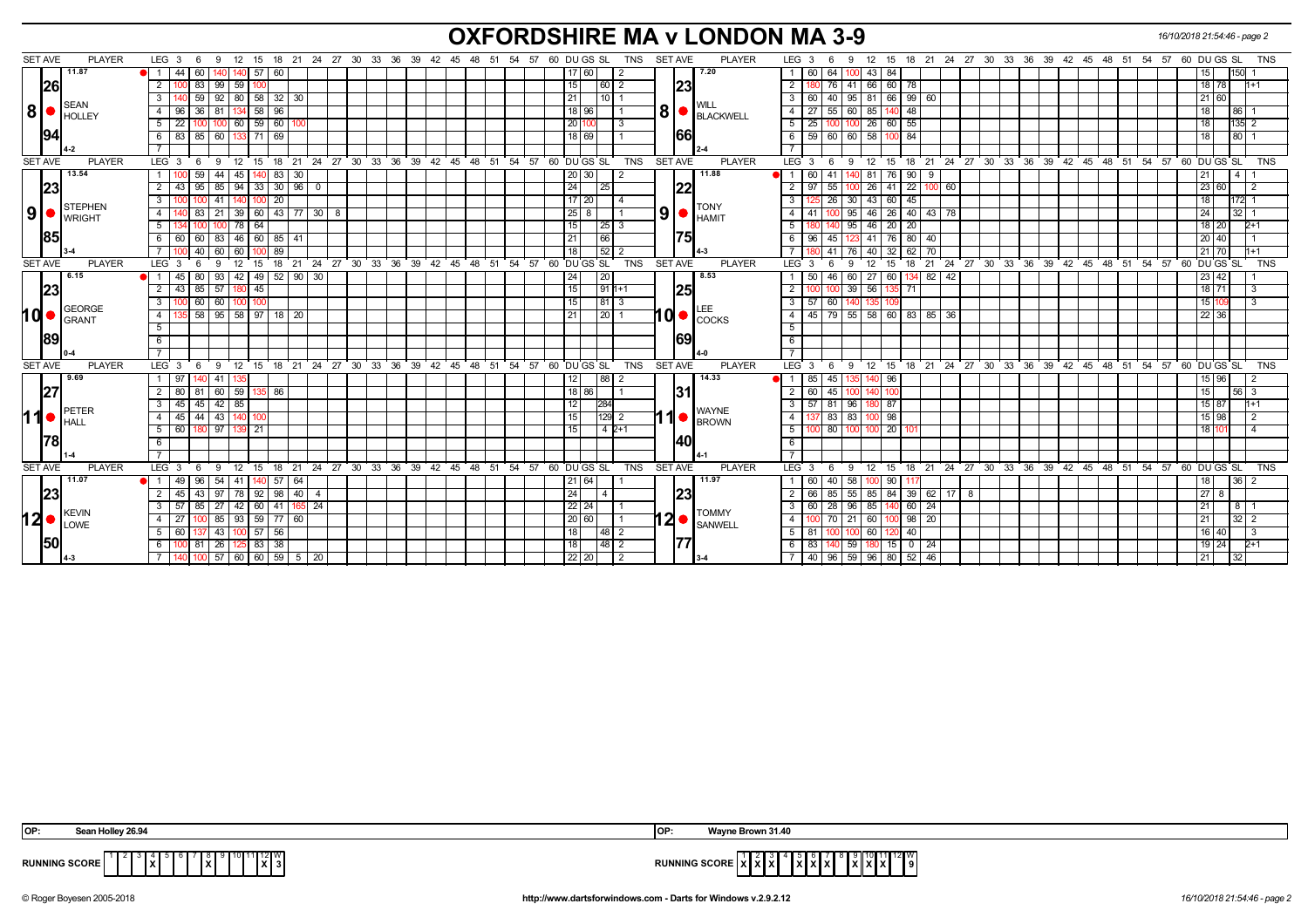## **OXFORDSHIRE MA v LONDON MA 3-9** *16/10/2018 21:54:46 - page 2*

| 11.87<br>$140$ 57 60<br>17 60 <br>7.20<br>43 84<br>$\bullet$ 1<br>44 I<br>60<br>60<br>64<br>100 I<br>2<br> 26 <br> 23 <br>83 99 59 100<br>180 76 41 66 60 78<br>15<br>2<br>2<br>$92$ 80 58 32 30<br>66 99 60<br>59<br>21<br>3 <sup>1</sup><br>$95$ 81<br>$10$   1<br>60<br>40<br>SEAN<br><b>WILL</b><br> 8 <br>8<br>134 58<br>18 96<br>60<br>85<br>36<br>96<br>4 I<br>-27<br>55<br>48<br>96<br>81<br>4<br>BLACKWELL<br>HOLLEY<br>$100 \ 60 \ 59 \ 60 \ 100$<br>100 26 60 55<br>20 100<br>5<br>25<br>22<br>3<br>100<br>5<br>1001<br>66<br> 94 <br>83 85 60 133 71 69<br>59   60   60   58   100   84<br>18 69 <br>6 <sup>1</sup><br>6 | 15 <sub>1</sub><br>150 1<br>18 78<br>$1 + 1$<br>21 60<br>18 <sup>1</sup><br>86<br>$135$ 2<br>18 <sup>1</sup><br>18 <sup>1</sup><br>80 |
|--------------------------------------------------------------------------------------------------------------------------------------------------------------------------------------------------------------------------------------------------------------------------------------------------------------------------------------------------------------------------------------------------------------------------------------------------------------------------------------------------------------------------------------------------------------------------------------------------------------------------------------|---------------------------------------------------------------------------------------------------------------------------------------|
|                                                                                                                                                                                                                                                                                                                                                                                                                                                                                                                                                                                                                                      |                                                                                                                                       |
|                                                                                                                                                                                                                                                                                                                                                                                                                                                                                                                                                                                                                                      |                                                                                                                                       |
|                                                                                                                                                                                                                                                                                                                                                                                                                                                                                                                                                                                                                                      |                                                                                                                                       |
|                                                                                                                                                                                                                                                                                                                                                                                                                                                                                                                                                                                                                                      |                                                                                                                                       |
|                                                                                                                                                                                                                                                                                                                                                                                                                                                                                                                                                                                                                                      |                                                                                                                                       |
|                                                                                                                                                                                                                                                                                                                                                                                                                                                                                                                                                                                                                                      |                                                                                                                                       |
| $\overline{7}$                                                                                                                                                                                                                                                                                                                                                                                                                                                                                                                                                                                                                       |                                                                                                                                       |
| <b>SET AVE</b><br>9 12 15 18 21 24 27 30 33 36 39 42 45 48 51 54 57 60 DUGS SL<br>TNS<br><b>SET AVE</b><br><b>PLAYER</b><br>$LEG_3$ 6<br>9 12 15 18 21 24 27 30 33 36 39 42 45 48 51 54 57 60 DUGSSL TNS<br><b>PLAYER</b><br>LEG 3<br>$6\overline{6}$                                                                                                                                                                                                                                                                                                                                                                                |                                                                                                                                       |
| 13.54<br>11.88<br>59<br>83 30<br>20 30 <br>60 l<br>81<br>76 90<br>44<br>45<br>l 41<br>- 9                                                                                                                                                                                                                                                                                                                                                                                                                                                                                                                                            | 21 I<br>$\overline{4}$                                                                                                                |
| 22<br> 23 <br>$\overline{24}$<br>$\overline{22}$<br>95<br>$94 \mid 33$<br>30   96<br>25<br>26<br>2<br>85<br>2<br>55<br>41<br>43<br>$^{\circ}$<br>  60                                                                                                                                                                                                                                                                                                                                                                                                                                                                                | 23 60                                                                                                                                 |
| $17$ 20<br>20<br>30<br>43 60 45<br>41<br>3<br>26<br>3<br>100<br>140 100<br>$\overline{4}$<br>STEPHEN<br><b>TONY</b>                                                                                                                                                                                                                                                                                                                                                                                                                                                                                                                  | 172 1<br>18                                                                                                                           |
| 9 •<br>9<br>39 60 <br>$43$ 77 30<br>$25 \mid 8$<br>95<br>46 26 40 43 78<br>83<br>$\overline{4}$<br>- 8<br>-21<br>-41<br>4<br>HAMIT<br><b>I</b> WRIGHT                                                                                                                                                                                                                                                                                                                                                                                                                                                                                | 24 <sup>1</sup><br>$32$   1                                                                                                           |
| 78 64<br>15<br>5<br>95<br>46 20 20<br>5<br> 25 3                                                                                                                                                                                                                                                                                                                                                                                                                                                                                                                                                                                     | 18 20<br>$2+1$                                                                                                                        |
| <b>85</b><br>75<br>123 41 76 80 40<br>6 6 6 6 6 0 83 46 60 85 41<br>21<br> 66 <br>96   45  <br>- 6 I                                                                                                                                                                                                                                                                                                                                                                                                                                                                                                                                 | $20 \mid 40$                                                                                                                          |
| $\overline{52}$<br>40<br>89<br>18<br>40 32 62<br>60   60  <br>41<br>76 I<br>70<br>100                                                                                                                                                                                                                                                                                                                                                                                                                                                                                                                                                | $21$ 70                                                                                                                               |
| TNS<br>SET AVE<br><b>SET AVE</b><br><b>PLAYER</b><br>18 21 24 27 30 33 36 39 42 45 48 51 54 57 60 DUGS SL<br><b>PLAYER</b><br>$LEG^{\prime}$ 3<br>18 21 24 27 30 33 36 39 42 45<br>LEG <sub>3</sub><br>12 15<br>12<br>- 6<br>-9<br>-9<br>15<br>- 6                                                                                                                                                                                                                                                                                                                                                                                   | 48 51 54 57 60 DUGS SL<br>TNS                                                                                                         |
| 6.15<br>8.53<br>80<br>93 42 49 52 90 30<br> 20 <br>50<br>60<br>27<br>60<br>134 82 42<br>45 I<br>24<br>46                                                                                                                                                                                                                                                                                                                                                                                                                                                                                                                             | 23 42                                                                                                                                 |
| 23 <br>$1911+1$<br> 25 <br>43 85 57 180 45<br>15<br>100 39 56 135 71<br>$\overline{2}$<br>$\overline{2}$                                                                                                                                                                                                                                                                                                                                                                                                                                                                                                                             | $18$ 71<br>$\overline{3}$                                                                                                             |
| 00 60 60 100 100<br>15<br> 81 3<br>3 <sup>1</sup><br>57 <sup>1</sup><br>3<br>l 60<br>140<br>135<br>GEORGE                                                                                                                                                                                                                                                                                                                                                                                                                                                                                                                            | 15 10                                                                                                                                 |
| hd•<br>$10$ $\bullet$ $\left  \frac{\text{LEE}}{\text{COCKS}} \right $<br>58 95 58 97 18 20<br>45   79   55   58   60   83   85   36<br>$\overline{4}$<br>21<br> 20 1<br>$\overline{4}$<br><b>I</b> GRANT                                                                                                                                                                                                                                                                                                                                                                                                                            | 22 36                                                                                                                                 |
| $5\overline{)}$<br>$-5$<br>89<br>69                                                                                                                                                                                                                                                                                                                                                                                                                                                                                                                                                                                                  |                                                                                                                                       |
| $6\overline{6}$<br>6                                                                                                                                                                                                                                                                                                                                                                                                                                                                                                                                                                                                                 |                                                                                                                                       |
| $\overline{7}$<br><b>SET AVE</b><br>12 15 18 21 24 27 30 33 36 39 42 45 48 51 54 57 60 DUGS SL<br>TNS<br><b>SET AVE</b><br>$LEG^3$ 3<br>12 15 18 21 24 27 30 33 36 39 42 45 48 51 54 57 60 DUGS SL<br><b>PLAYER</b><br>LEG <sub>3</sub><br><b>PLAYER</b><br>- 6<br>9<br>6<br>- 9                                                                                                                                                                                                                                                                                                                                                     | <b>TNS</b>                                                                                                                            |
| 9.69<br>14.33<br> 88 <br>85<br>45<br>96<br>l 97<br>-41<br>12<br>2                                                                                                                                                                                                                                                                                                                                                                                                                                                                                                                                                                    | 15 96                                                                                                                                 |
| 1351<br>60   59<br>18 86<br>$\overline{2}$<br>60<br>2<br>81<br>86<br>45<br>80<br>100<br>100                                                                                                                                                                                                                                                                                                                                                                                                                                                                                                                                          | 15 <sup>1</sup><br>56 3                                                                                                               |
| 27 <br><b>131</b><br>$-45$<br>$42 \mid 85$<br>284<br>57 81 96<br>45 I<br>12<br>- 3 I<br>180 87<br>3                                                                                                                                                                                                                                                                                                                                                                                                                                                                                                                                  | $15$ 87<br>$H + 1$                                                                                                                    |
| <b>IPETER</b><br><b>WAYNE</b><br> 11<br>l 1<br>83<br>44<br>43   140<br>15<br>$129$ 2<br>$\overline{4}$<br>83<br>98<br>$\overline{4}$<br>45                                                                                                                                                                                                                                                                                                                                                                                                                                                                                           | $15 \mid 98$                                                                                                                          |
| <b>BROWN</b><br><b>I</b> HALL<br>15<br>$42+1$<br>5<br>80<br>20<br>91 21<br>-5<br>97<br>100                                                                                                                                                                                                                                                                                                                                                                                                                                                                                                                                           | $18$ 1                                                                                                                                |
| 78 <br>140I<br>6<br>6                                                                                                                                                                                                                                                                                                                                                                                                                                                                                                                                                                                                                |                                                                                                                                       |
| $\overline{7}$                                                                                                                                                                                                                                                                                                                                                                                                                                                                                                                                                                                                                       |                                                                                                                                       |
| 9 12 15 18 21 24 27 30 33 36 39 42 45 48 51 54 57 60 DUGS SL<br><b>SET AVE</b><br><b>PLAYER</b><br>12 15 18 21 24 27 30 33 36 39 42 45 48 51 54 57 60 DUGS SL<br><b>SET AVE</b><br><b>PLAYER</b><br>LEG <sub>3</sub><br>TNS<br>$LEG^3$ 3<br>6<br>6<br>9                                                                                                                                                                                                                                                                                                                                                                              | TNS                                                                                                                                   |
| 11.07<br>$57$ 64<br>11.97<br>$40 \mid 58$<br>$\bullet$ 1<br>49 96<br>$54$ 41<br>21 64<br>60<br>90<br>140 I<br>117                                                                                                                                                                                                                                                                                                                                                                                                                                                                                                                    | 18<br>36 <sup>2</sup>                                                                                                                 |
| 23<br> 23 <br>43 97 78 92 98 40 4<br>24<br>66   85   55   85   84   39   62   17   8<br>45 I<br>2<br>2<br>l 4                                                                                                                                                                                                                                                                                                                                                                                                                                                                                                                        | $27$ 8                                                                                                                                |
| $22$   24  <br>$96$ 85 1<br>140 60 24<br>$142$ 60<br>41<br>165 24<br>3 <sup>1</sup><br>60 28<br>-3<br>85<br>-27                                                                                                                                                                                                                                                                                                                                                                                                                                                                                                                      | 21  <br>811                                                                                                                           |
| KEVIN<br><b>TOMMY</b><br>12<br>12I<br>85   93   59  <br>20 60 <br>$98 \mid 20$<br>77   60<br>$\overline{4}$<br>21<br>60<br>27<br>4<br>70                                                                                                                                                                                                                                                                                                                                                                                                                                                                                             | 21 <sup>1</sup><br>$32$   2                                                                                                           |
| LOWE<br><b>SANWELL</b><br>18<br>43   100   57   56  <br>$\begin{array}{c c c c c} \hline 48 & 2 \\ \hline \end{array}$<br>$5 \mid 81$<br>100 60 120<br>40<br>5 60<br>137<br><b>001</b>                                                                                                                                                                                                                                                                                                                                                                                                                                               | 16 40                                                                                                                                 |
| 150<br>177<br>00 81 26 125 83 38<br>18<br> 48 2<br>59<br>6<br>-83 I<br>$180$ 15 0 24                                                                                                                                                                                                                                                                                                                                                                                                                                                                                                                                                 | $19$ 24<br>$2 + 1$                                                                                                                    |
| 7 40 96 59 96 80 52 46<br>$57 \mid 60 \mid 60 \mid 59 \mid 5 \mid 20$<br>$22$   20  <br>100<br>2                                                                                                                                                                                                                                                                                                                                                                                                                                                                                                                                     | 21                                                                                                                                    |

| OP:                    | .1 Hollev 26.94<br>.                      | IOP:                 | ----<br>avne Brown 31.40                                             |
|------------------------|-------------------------------------------|----------------------|----------------------------------------------------------------------|
| <b>RUNNING SCORE  </b> | ำ"11∥12∥W เ<br>. v .<br>IxI<br>1 X I<br>. | <b>RUNNING SCORE</b> | 12 I W<br>허리하<br>.<br>,,,,,,<br>I A I A I A<br>$\mathbf{r}$<br>^ * ^ |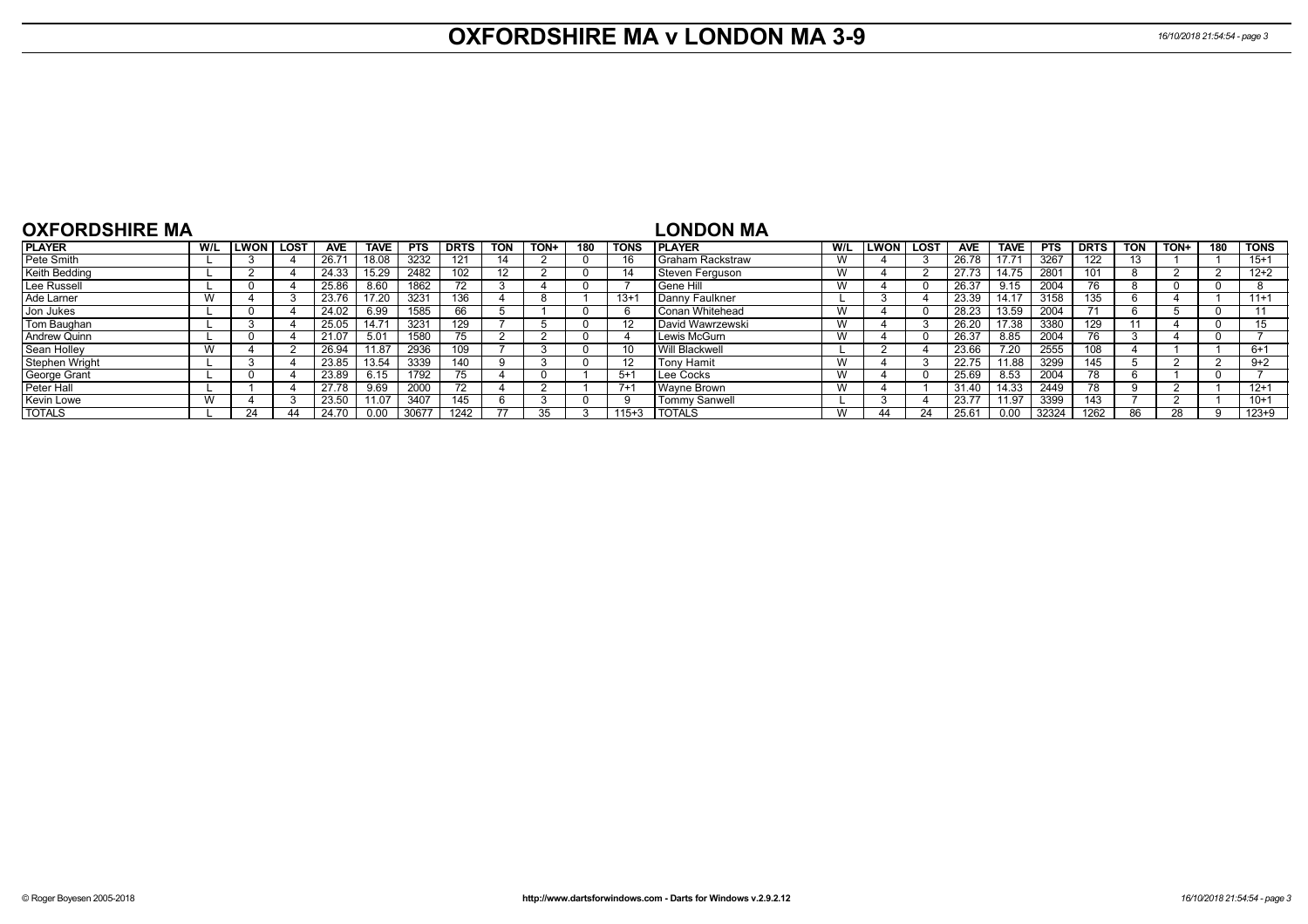## **OXFORDSHIRE MA v LONDON MA 3-9** *16/10/2018 21:54:54 - page 3*

| <b>OXFORDSHIRE MA</b> |            |             |    |            |             |            |             |            |      |     |             | LONDON MA            |     |                   |    |            |             |            |             |            |      |     |           |
|-----------------------|------------|-------------|----|------------|-------------|------------|-------------|------------|------|-----|-------------|----------------------|-----|-------------------|----|------------|-------------|------------|-------------|------------|------|-----|-----------|
| <b>PLAYER</b>         | W/L        | LWON   LOST |    | <b>AVE</b> | <b>TAVE</b> | <b>PTS</b> | <b>DRTS</b> | <b>TON</b> | TON+ | 180 | <b>TONS</b> | <b>IPLAYER</b>       | W/L | <b>ILWON LOST</b> |    | <b>AVE</b> | <b>TAVE</b> | <b>PTS</b> | <b>DRTS</b> | <b>TON</b> | TON+ | 180 | l TONS    |
| Pete Smith            |            |             |    | 26.7'      | 18.08       | 3232       | 121         | 14         |      |     |             | l Graham Rackstraw   | W   |                   |    | 26.78      | 17.71       | 3267       | 122         |            |      |     | $15+1$    |
| Keith Bedding         |            |             |    | 24.33      | 15.29       | 2482       | 102         | 12         |      |     | 14          | Steven Ferguson      | W   |                   |    | 27.73      | 14.75       | 2801       | 101         |            |      |     | $12 + 2$  |
| Lee Russell           |            |             |    | 25.86      | 8.60        | 1862       |             |            |      |     |             | l Gene Hill          | W   |                   |    | 26.37      | 9.15        | 2004       | 76.         |            |      |     |           |
| Ade Larner            |            |             |    | 23.76      | 17.20       | 3231       | 136         |            |      |     | $13 +$      | l Dannv Faulkner     |     |                   |    | 23.39      | 14.17       | 3158       | 135         |            |      |     | $11+1$    |
| Jon Jukes             |            |             |    | 24.02      | 6.99        | 1585       | 66          |            |      |     |             | l Conan Whitehead    | W   |                   |    | 28.23      | 13.59       | 2004       |             |            |      |     |           |
| Tom Baughan           |            |             |    | 25.05      | 14.71       | 3231       | 129         |            |      |     | 12          | David Wawrzewski     | W   |                   |    | 26.20      | 17.38       | 3380       | 129         |            |      |     | 15        |
| Andrew Quinn          |            |             |    |            | 5.01        | 1580       | 75          |            |      |     |             | Lewis McGurn         | W   |                   |    | 26.37      | 8.85        | 2004       | 76.         |            |      |     |           |
| Sean Holley           |            |             |    | 26.94      | 11.87       | 2936       | 109         |            |      |     |             | Will Blackwell       |     |                   |    | 23.66      | 7.20        | 2555       | 108         |            |      |     | $6+1$     |
| Stephen Wright        |            |             |    | 23.85      | 13.54       | 3339       | 140         |            |      |     | 12          | <b>Tony Hamit</b>    | W   |                   |    | 22.75      | 11.88       | 3299       | 145         |            |      |     | $9+2$     |
| George Grant          |            |             |    | 23.89      | 6.15        | 1792       | 75          |            |      |     | $5 + 4$     | Lee Cocks            | W   |                   |    | 25.69      | 8.53        | 2004       | 78          |            |      |     |           |
| Peter Hall            |            |             |    | 27.78      | 9.69        | 2000       | 72          |            |      |     | $7+$        | Wavne Brown          | W   |                   |    | 31.40      | 14.33       | 2449       |             |            |      |     | $12+1$    |
| Kevin Lowe            | <b>181</b> |             |    | 23.50      | 11.07       | 3407       | 145         |            |      |     |             | <b>Tommy Sanwell</b> |     |                   |    | 23.77      | 11.97       | 3399       | 143         |            |      |     | $10+1$    |
| <b>TOTALS</b>         |            | 24          | 44 | 24.70      | 0.00        | 30677      | 1242        |            |      |     | $115+3$     | <b>TOTALS</b>        | W   |                   | 24 | 25.61      | 0.00        | 32324      | 1262        |            | 28   |     | $123 + 9$ |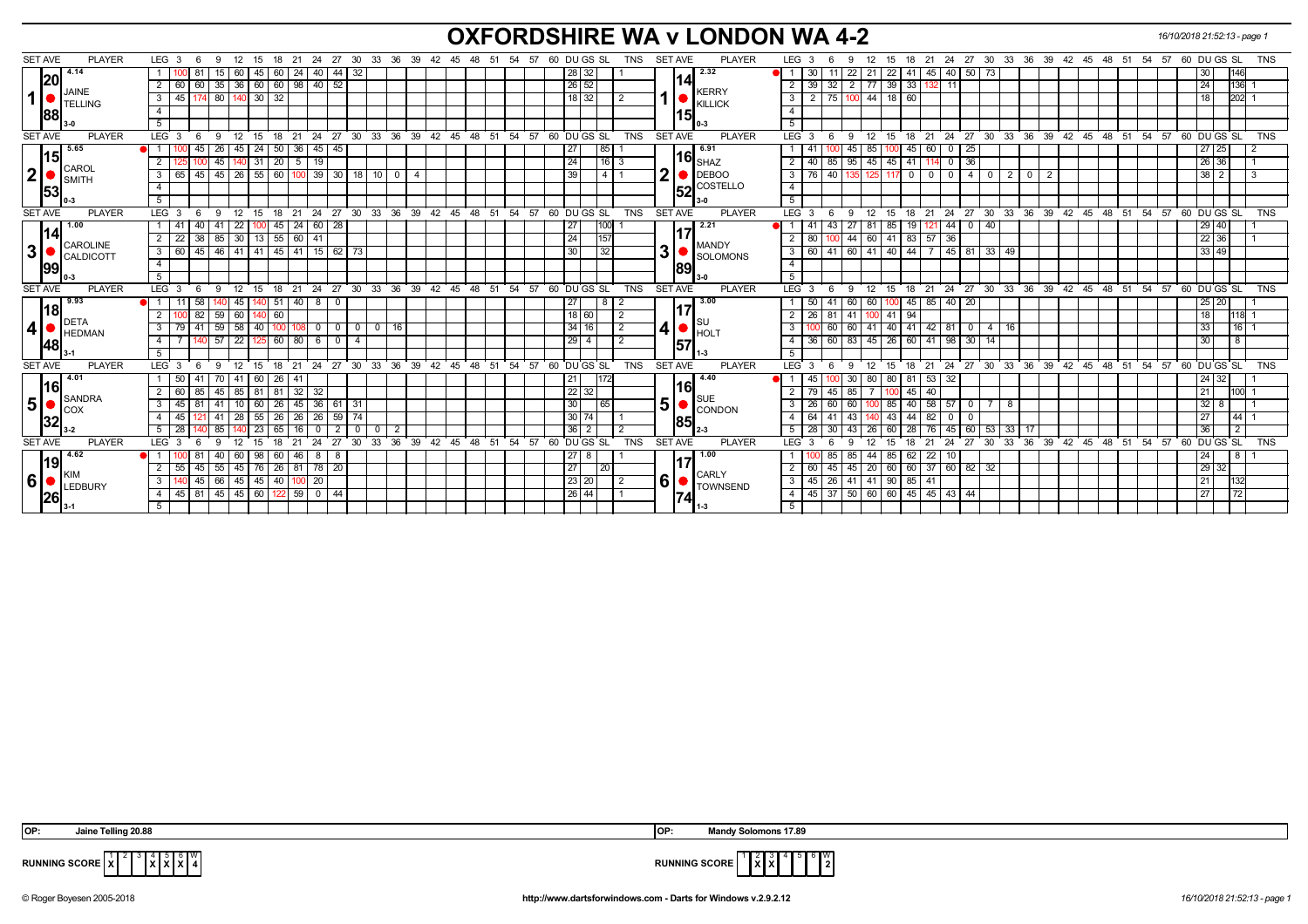# **OXFORDSHIRE WA v LONDON WA 4-2** *16/10/2018 21:52:13 - page 1*

| <b>SET AVE</b><br><b>PLAYER</b>         | LEG <sub>3</sub><br>12<br>- 6<br>- 9                                            | - 21<br>- 15<br>-18                                          |                                | 24 27 30 33 36 39 42 45 48 51 54 57 | 60 DU GS SL                                 | TNS             | <b>SET AVE</b><br><b>PLAYER</b>            | LEG <sub>3</sub><br>- 6<br>-9 | 12<br>15                              |                                           |                                   |                 |  | 18  21  24  27  30  33  36  39  42  45  48  51  54  57  60  DU GS  SL | TNS            |
|-----------------------------------------|---------------------------------------------------------------------------------|--------------------------------------------------------------|--------------------------------|-------------------------------------|---------------------------------------------|-----------------|--------------------------------------------|-------------------------------|---------------------------------------|-------------------------------------------|-----------------------------------|-----------------|--|-----------------------------------------------------------------------|----------------|
| 4.14                                    | 60                                                                              | 40<br>45<br>  24<br>60                                       | 44 32                          |                                     | 28 32                                       |                 | 2.32                                       | 30                            | 22 41<br>21                           | $45$ 40                                   | 50 73                             |                 |  | 30                                                                    | 146            |
| 20                                      | $35 \mid 36$<br>$\overline{2}$<br>60<br>60                                      | $40 \ 52$<br> 60 <br>  60   98                               |                                |                                     | $\boxed{26}$ 52                             |                 | 14                                         | 39<br>32                      | $39 \mid 33 \mid$<br>$2 \mid 77 \mid$ | 132 I<br>- 11                             |                                   |                 |  | 24                                                                    | 136            |
| JAINE<br>1<br>TELLING                   | 80   140   30<br>$\overline{\phantom{a}3}$<br>45 I                              | 32                                                           |                                |                                     | $18$ 32                                     |                 | <b>KERRY</b><br><b>KILLICK</b>             | 2<br>75 I                     | 100 44<br>18 60                       |                                           |                                   |                 |  | 18                                                                    | 202            |
| 88                                      | $\overline{4}$                                                                  |                                                              |                                |                                     |                                             |                 | 15                                         |                               |                                       |                                           |                                   |                 |  |                                                                       |                |
|                                         | 5                                                                               |                                                              |                                |                                     |                                             |                 |                                            | 5                             |                                       |                                           |                                   |                 |  |                                                                       |                |
| <b>SET AVE</b><br><b>PLAYER</b>         | LEG <sub>3</sub><br>12<br>-9<br>- 6                                             | - 21<br>24<br>- 18<br>15                                     |                                |                                     | 27 30 33 36 39 42 45 48 51 54 57 60 DUGS SL | <b>TNS</b>      | <b>SET AVE</b><br><b>PLAYER</b>            | LEG <sub>3</sub><br>-6<br>-9  | 12<br>15 18 21                        |                                           |                                   |                 |  | 24 27 30 33 36 39 42 45 48 51 54 57 60 DUGS SL                        | <b>TNS</b>     |
| 5.65                                    | 45<br>-26<br>45                                                                 | 24<br>45  <br>50   36<br>45                                  |                                |                                     | 27                                          | 85 I            | 6.91                                       | 41<br>45                      | 85<br>  45                            | 60<br>25<br>0                             |                                   |                 |  | 27 <sub>l</sub><br>25                                                 |                |
| <u> 115</u><br>CAROL                    | $\overline{2}$<br>$140$ 31<br>45                                                | 19<br>$\boxed{20}$ 5                                         |                                |                                     | 24                                          | $16$ 3          | $116$ $_{\rm SHAZ}$                        | 40                            | 85 95 45 45 41                        | 36<br>114<br>$\mathbf 0$                  |                                   |                 |  | 26 36                                                                 |                |
| 2 <br>$\blacksquare$ SMITH              | 65   45   45   26   55   60   100   39   30   18   10   0   4<br>3 <sup>1</sup> |                                                              |                                |                                     | 39                                          | $4 \mid 1$      | ◠<br>DEBOO                                 | 76 I<br>40<br>3               | 135 125                               | 117 0 0 0 0 0 4 0 0                       | 2                                 | l 0 I<br>2      |  | $38 \mid 2$                                                           | 3              |
| 53                                      | $\overline{4}$                                                                  |                                                              |                                |                                     |                                             |                 | $\overline{\text{52}}$ <sup>COSTELLO</sup> |                               |                                       |                                           |                                   |                 |  |                                                                       |                |
|                                         | 5 <sup>5</sup>                                                                  |                                                              |                                |                                     |                                             |                 |                                            | 5                             |                                       |                                           |                                   |                 |  |                                                                       |                |
| <b>SET AVE</b><br><b>PLAYER</b>         | $LEG_36$                                                                        | 9 12 15 18 21 24 27 30 33 36 39 42 45 48 51 54 57 60 DUGS SL |                                |                                     |                                             | TNS             | <b>SET AVE</b><br><b>PLAYER</b>            | LEG <sub>3</sub><br>6 9 12    |                                       |                                           |                                   |                 |  | 15 18 21 24 27 30 33 36 39 42 45 48 51 54 57 60 DUGS SL               | TNS            |
| 1.00<br>114I                            | 40<br>-41<br>22<br>-41                                                          | 60 28<br>$\vert$ 24<br>45                                    |                                |                                     | 27                                          | 100             | 2.21<br>l17                                | 41<br>43<br>27                | 85<br>19<br>  81                      | 44<br>1211                                | $0$   40                          |                 |  | 29 40                                                                 |                |
| <b>CAROLINE</b>                         | $38 \mid 85 \mid 30 \mid 13 \mid$<br>2 I<br>22                                  | 55 60 41                                                     |                                |                                     | 24                                          | 157             | <b>MANDY</b>                               | 80                            | 44 60                                 | 41 83 57 36                               |                                   |                 |  | 22 36                                                                 |                |
| 3 <br>$\blacksquare$ CALDICOTT          | 3   60<br>45 46 41 41                                                           | 45   41   15   62   73                                       |                                |                                     | 30                                          | 32              | 3 I<br>SOLOMONS                            | 60<br>41                      |                                       | 60   41   40   44   7   45   81   33   49 |                                   |                 |  | 33   49                                                               |                |
| 99                                      | $\overline{4}$                                                                  |                                                              |                                |                                     |                                             |                 | 89                                         |                               |                                       |                                           |                                   |                 |  |                                                                       |                |
|                                         | $-5$                                                                            |                                                              |                                |                                     |                                             |                 |                                            | 5                             |                                       |                                           |                                   |                 |  |                                                                       |                |
| <b>SET AVE</b><br><b>PLAYER</b>         | $LEG_3$ 6                                                                       | 9 12 15 18 21 24 27 30 33 36 39 42 45 48 51 54 57 60 DUGS SL |                                |                                     |                                             | TNS             | <b>SET AVE</b><br><b>PLAYER</b>            | LEG 3<br>6                    |                                       |                                           |                                   |                 |  | 0 12 15 18 21 24 27 30 33 36 39 42 45 48 51 54 57 60 DUGS SL          | TNS            |
| 9.93<br>l18                             | 58<br>45<br>- 11 I                                                              | $51$ 40<br>$8$ 0<br>1401                                     |                                |                                     | 27                                          |                 | 3.00<br>117                                | 50<br>-41                     | 60 60                                 | $100 \mid 45 \mid 85 \mid 40 \mid 20$     |                                   |                 |  | $25$ 20                                                               |                |
| $\bigcup$ DETA                          | 82<br>59 60<br>2 I                                                              | 60<br>140                                                    |                                |                                     | 18 60                                       | l 2             |                                            | 26<br>-81                     | $41 \overline{)94}$<br>$141$ 100      |                                           |                                   |                 |  | 18                                                                    | 118            |
| 4                                       |                                                                                 |                                                              |                                |                                     |                                             |                 |                                            |                               |                                       |                                           |                                   |                 |  |                                                                       |                |
|                                         | $59$ 58<br>3 <sup>1</sup><br>79 41                                              | 40 100 108                                                   | $0 0 0 0 0$<br>16 I            |                                     | 34                                          | l 2<br>16       | IS∪<br>41                                  |                               |                                       | 60 60 41 40 41 42 81 0 4 76               |                                   |                 |  | 33                                                                    | 16             |
| $\blacksquare$ HEDMAN                   | $140$ 57 22<br>$\overline{4}$                                                   | 60 80<br>$6\overline{6}$<br>125<br>- 0                       |                                |                                     | 29                                          | $\sqrt{2}$<br>4 | $\bullet$ HOLT                             | 36                            | 60 83 45 26 60 41 98                  |                                           | 30 14                             |                 |  | 30                                                                    | 8              |
| <b>148</b>                              | 5 <sup>5</sup>                                                                  |                                                              |                                |                                     |                                             |                 | 57<br>$1 - 3$                              |                               |                                       |                                           |                                   |                 |  |                                                                       |                |
| <b>SET AVE</b><br><b>PLAYER</b>         | LEG <sub>3</sub><br>6                                                           | 9 12 15 18 21 24 27 30 33 36 39 42 45 48 51 54 57 60 DUGS SL |                                |                                     |                                             | TNS             | <b>SET AVE</b><br><b>PLAYER</b>            | LEG <sub>3</sub><br>- 6<br>9  |                                       |                                           |                                   |                 |  | 12 15 18 21 24 27 30 33 36 39 42 45 48 51 54 57 60 DUGS SL            | TNS            |
| 4.01                                    | 70   41   60  <br>50                                                            | 26   41                                                      |                                |                                     | 21                                          | 72I             | 4.40                                       | 45                            | 30 80<br>80   81                      | 53 32                                     |                                   |                 |  | 24<br>32 <sub>1</sub>                                                 |                |
| l16                                     | $145$ 85 81<br>2 I<br>60<br>85                                                  | 81 32 32                                                     |                                |                                     | $22 \mid 32$                                |                 | l16l                                       | 79<br>45 I                    | 85 7<br>$100$ 45                      | 40                                        |                                   |                 |  | 21                                                                    | 100I           |
| SANDRA<br>5 <sup>1</sup>                | - 3 I<br>45<br>41<br>10 I                                                       | 36 61<br>$\boxed{60}$<br>$26 \mid 45 \mid$                   | $\cdot$ 31                     |                                     | 30                                          | 65 I            | 5 <sup>1</sup>                             | 26<br>60<br>60 I              | 100                                   | 85 40 58 57<br>$\overline{\circ}$         | -8                                |                 |  | 32<br>8                                                               |                |
| $\bullet$ $\bullet$ $\bullet$ $\bullet$ | 28<br>45<br>41<br>4                                                             | 55<br>26<br>$26 \mid 26$                                     | 59 74                          |                                     | 30                                          |                 | SUE<br>CONDON                              | 64<br>43 <sup>1</sup>         | 43 44<br>140                          | 82<br>$^{\circ}$<br>0                     |                                   |                 |  | 27                                                                    | 44             |
| 32                                      | $5\vert$<br>-28<br>85                                                           | 23<br>$\mathbf{0}$<br>65<br>2<br>l 16.                       | $\mathbf{0}$<br>$\overline{2}$ |                                     | 36                                          | $\sqrt{2}$      | 85                                         | $\overline{28}$<br>30         | 43 26<br>60<br>28                     | 76<br>$\sqrt{45}$                         | $60 \mid 53 \mid$<br>$33 \mid 17$ |                 |  | 36                                                                    | $\overline{2}$ |
| <b>SET AVE</b><br><b>PLAYER</b>         | LEG <sub>3</sub><br><b>q</b>                                                    | 27<br>21<br>24<br>15                                         | 36<br>30<br>33                 | 39 42 45 48 51                      | 54 57<br>60 DUGS SL                         | <b>TNS</b>      | <b>SET AVE</b><br><b>PLAYER</b>            | LEG 3                         |                                       | 24<br>27                                  | ່ 33<br>30                        | $\overline{36}$ |  | 39 42 45 48 51 54 57 60 DUGS SL                                       | TNS            |
| 4.62                                    |                                                                                 | 98<br>8<br>60<br>46                                          |                                |                                     | 27                                          |                 | 1.00                                       |                               | 85<br>44<br>62                        | 22<br>10                                  |                                   |                 |  | 24                                                                    | $.8+$          |
| l19l                                    | 45<br>55<br>45<br>$\overline{2}$<br>55                                          | 76<br>$26 \mid 81$<br>78 20                                  |                                |                                     | 27                                          | 20              |                                            | 60<br>45 <sub>1</sub><br>45   | 20<br>60 60                           | 37   60   82   32                         |                                   |                 |  | $\sqrt{29}$ 32                                                        |                |
| KIM<br> 6                               | 45<br>66 45<br>3 <sup>1</sup>                                                   | 45<br>20<br>40 100                                           |                                |                                     | 23 20                                       | $\sqrt{2}$      | CARLY<br>6 <sup>1</sup><br><b>TOWNSEND</b> | 45   26   41   41             | 90   85                               | 41                                        |                                   |                 |  | 21                                                                    | 132            |
| LEDBURY<br> 26                          | 4<br>45 81<br>5 <sub>1</sub>                                                    | $145$ $ 45 $ 60 $ 122 $ 59<br>$0$ 44                         |                                |                                     | 26 44                                       |                 | 74                                         | $45 \mid 37$                  |                                       | 50 60 60 45 45 43 44                      |                                   |                 |  | 27                                                                    | 72             |

| lo <sub>P</sub> : | Telling 20.8<br>Jaine | l OP | oo<br>solomons<br>. 10 P<br>Ma |
|-------------------|-----------------------|------|--------------------------------|
|                   |                       |      |                                |



**RUNNING SCORE**  $\begin{bmatrix} 1 & 2 & 3 & 4 \ X & X & X \end{bmatrix}$ 

**X** 5 **X** 6 **X** W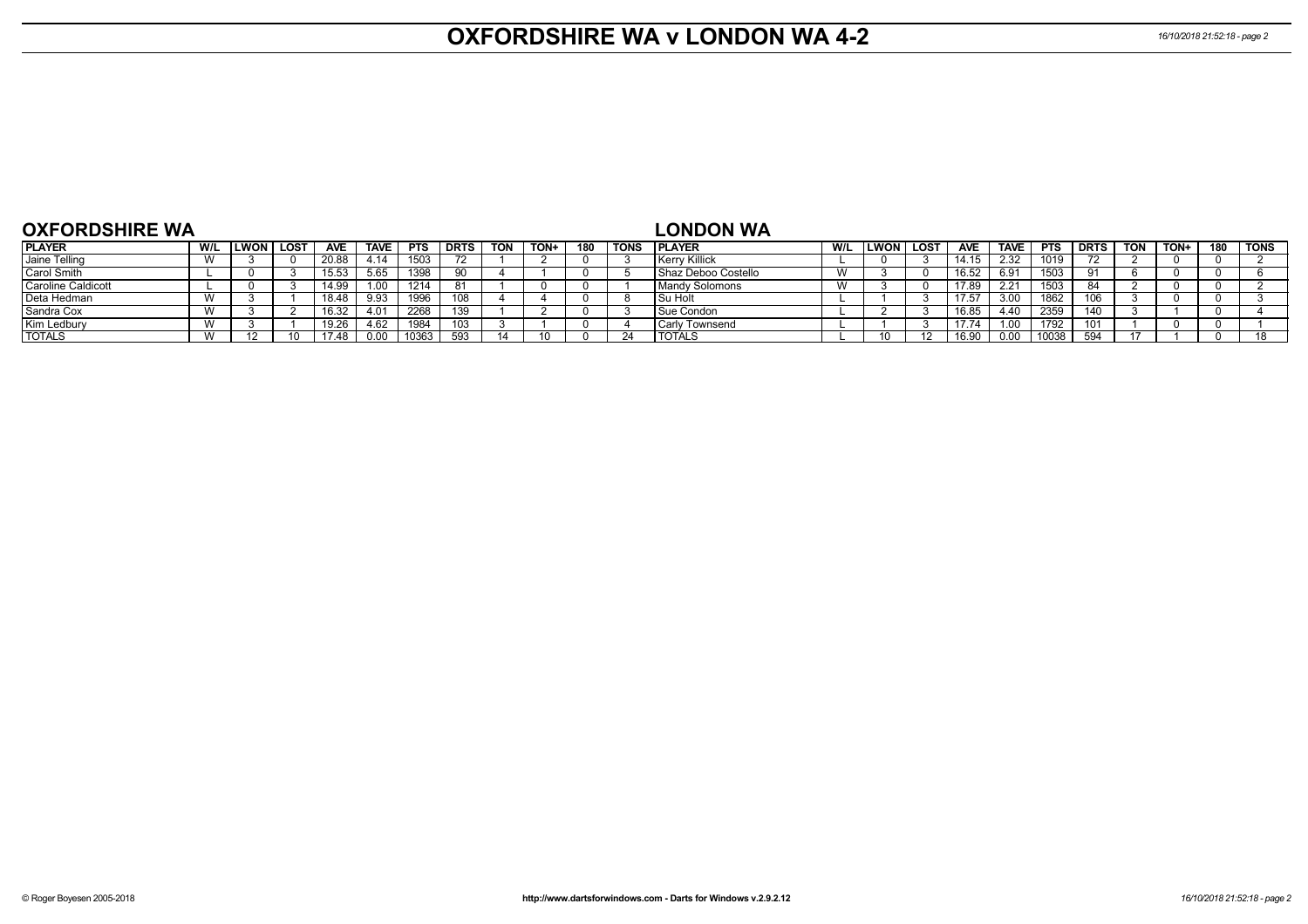# **OXFORDSHIRE WA v LONDON WA 4-2** *16/10/2018 21:52:18 - page 2*

| <b>OXFORDSHIRE WA</b> |     |        |        |            |             |            |             |            |      |     |             | <b>LONDON WA</b>      |           |           |            |             |            |             |            |      |     |        |
|-----------------------|-----|--------|--------|------------|-------------|------------|-------------|------------|------|-----|-------------|-----------------------|-----------|-----------|------------|-------------|------------|-------------|------------|------|-----|--------|
| <b>PLAYER</b>         | W/L | LWON I | , LOST | <b>AVE</b> | <b>TAVE</b> | <b>PTS</b> | <b>DRTS</b> | <b>TON</b> | TON+ | 180 | <b>TONS</b> | <b>IPLAYER</b>        | W/L       | LWON LOST | <b>AVE</b> | <b>TAVE</b> | <b>PTS</b> | <b>DRTS</b> | <b>TON</b> | TON+ | 180 | l TONS |
| Jaine Telling         |     |        |        | 20.88      |             | 1503       |             |            |      |     |             | Kerry Killick         |           |           | 14.15      | 2.32        | 1019       |             |            |      |     |        |
| Carol Smith           |     |        |        | 15.53      | 5.65        | 1398       |             |            |      |     |             | I Shaz Deboo Costello | $\lambda$ |           | 16.52      | 6.91        | 1503       |             |            |      |     |        |
| Caroline Caldicott    |     |        |        | 14.99      | .00         | 1214       |             |            |      |     |             | <b>Mandy Solomons</b> | $\lambda$ |           | 17.89      | 2.21        | 1503       |             |            |      |     |        |
| Deta Hedman           |     |        |        | 18.48      | 9.93        | 1996       | 108         |            |      |     |             | I Su Holt             |           |           | 17.57      | 3.00        | 1862       | 106         |            |      |     |        |
| Sandra Cox            |     |        |        | 16.32      |             | 2268       | 139         |            |      |     |             | l Sue Condon          |           |           | 16.85      | 4.40        | 2359       |             |            |      |     |        |
| Kim Ledbury           |     |        |        | 19.26      |             | 1984       | 103         |            |      |     |             | l Carlv Townsend      |           |           | 17.74      | .00         | 1792       | 101         |            |      |     |        |
| <b>TOTALS</b>         |     |        |        | 17.48      |             | 10363      | 593         |            |      |     |             | <b>TOTALS</b>         |           |           | 16.9       | 0.00        | 10038      | -504        |            |      |     |        |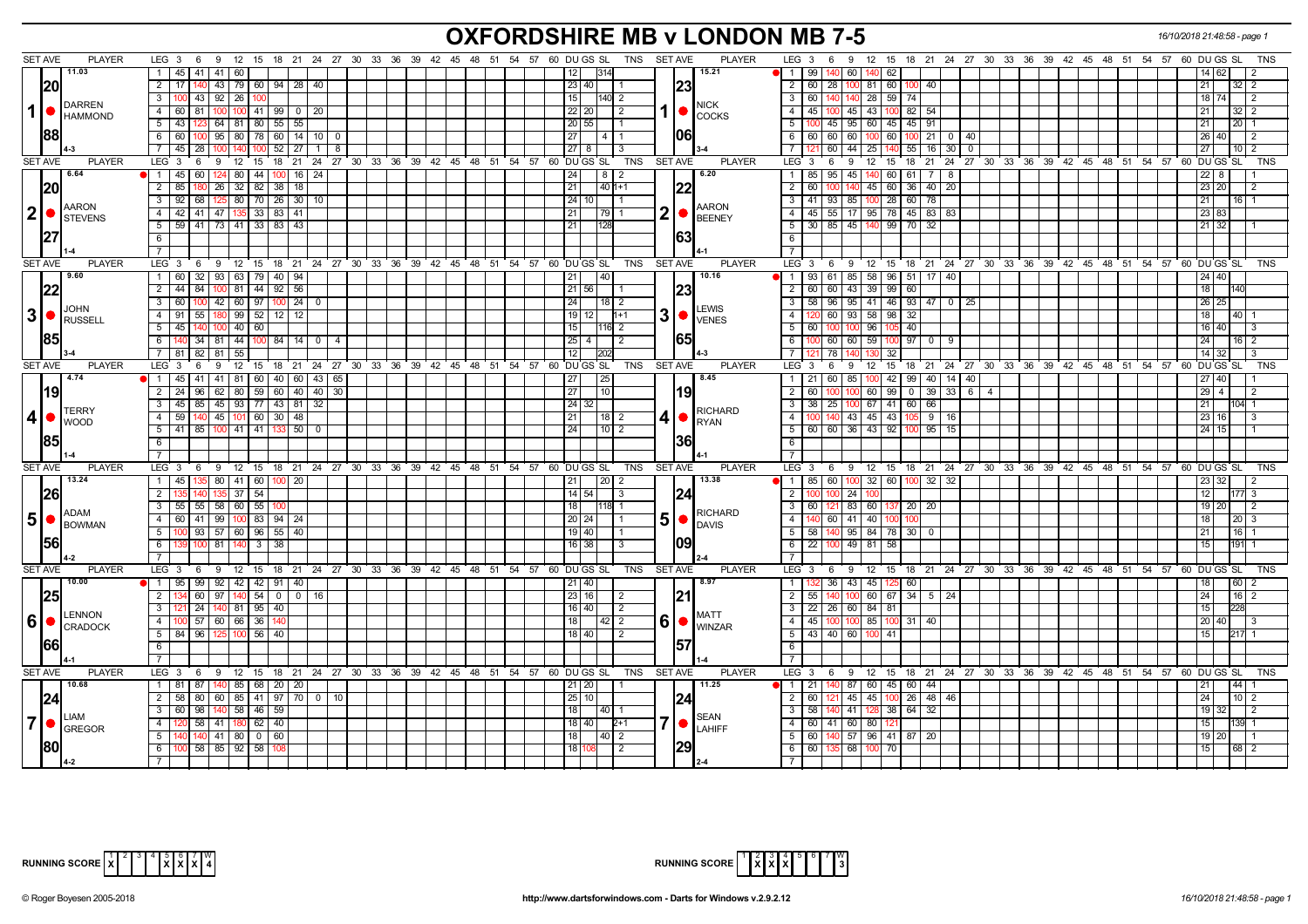## **OXFORDSHIRE MB v LONDON MB 7-5** *16/10/2018 21:48:58 - page 1*

| <b>SET AVE</b>  | <b>PLAYER</b>                                                    | LEG $3 \quad 6$                                   | 9 12 15 18 21 24 27 30 33 36 39 42 45 48 51 54 57 60 DUGS SL   |  | TNS SET AVE                | <b>PLAYER</b>                                                      | LEG $3 \quad 6$<br>9 12 15 18 21 24 27 30 33 36 39 42 45 48 51 54 57 60 DUGS SL<br>TNS                    |
|-----------------|------------------------------------------------------------------|---------------------------------------------------|----------------------------------------------------------------|--|----------------------------|--------------------------------------------------------------------|-----------------------------------------------------------------------------------------------------------|
|                 | 11.03                                                            | 41  <br>41<br>1 45                                |                                                                |  | 1314                       | 15.21                                                              | 60<br>1   99                                                                                              |
|                 |                                                                  | 60                                                |                                                                |  | 12 <sub>1</sub>            |                                                                    | 62<br>14   62                                                                                             |
|                 | 20                                                               | $2 \mid 17 \mid$<br>140                           | 43   79   60   94   28   40                                    |  | 23 40                      | 23                                                                 | $\overline{2}$<br>60   28  <br>100 81 60<br>100 40 1<br>21  <br>$32 \mid 2$                               |
|                 | <b>DARREN</b>                                                    | $3 \, 100$<br>43 92 26<br>100                     |                                                                |  | 15<br>140I 2               | <b>NICK</b>                                                        | $\overline{\phantom{a}3}$<br>140 28 59<br>74<br>60   140<br>18 74<br>$\overline{2}$                       |
| $\mathbf{1}$    | <b>I</b> HAMMOND                                                 | $4 \overline{60}$<br>81                           | 100 100 41 99 0 20                                             |  | 22 20 <br>2                | $1  \bullet  _{\text{COCKS}}$                                      | 4 4 5 100<br>45 43 100 82 54<br>21  <br>$32 \mid 2$                                                       |
|                 |                                                                  | 123 64 81 80 55 55<br>$5 \mid 43 \mid$            |                                                                |  | 20 55                      |                                                                    | $100$ 45   95   60   45   45   91<br>5<br>21<br>$20 \mid 1$                                               |
|                 | 1881                                                             | $6 \mid 60$<br>95   80<br>100 I                   | 78 60 14 10 0                                                  |  | 27<br>4 I                  | 061                                                                | 60 100 60<br>$100$ 21 0 40<br>6<br>60   60  <br>26 40<br>$\overline{2}$                                   |
|                 |                                                                  | $\overline{7}$   45<br>28<br>100                  | $52$   27<br>$\overline{1}$<br>- 8                             |  | $27$   8<br>-3             |                                                                    | $44$   25   140   55   16   30   0<br>$\overline{7}$<br>60<br>27 <sup>1</sup><br>$10$   2                 |
| <b>SET AVE</b>  | <b>PLAYER</b>                                                    | LEG <sub>3</sub><br>$9 \quad 12$<br>6             | 15 18 21 24 27 30 33 36 39 42 45 48 51 54 57 60 DUGS SL        |  | <b>TNS</b>                 | <b>SET AVE</b><br><b>PLAYER</b>                                    | LEG 3<br>9 12 15 18 21 24 27 30 33 36 39 42 45 48 51 54 57 60 DUGS SL<br>6<br>TNS                         |
|                 | 6.64                                                             | 1   45<br>60                                      | 124 80 44 100 16 24                                            |  | 24<br>8                    | 6.20                                                               | 45 140 60 61 7<br>$\mathbf{1}$<br>85   95<br>I 8<br>22 I                                                  |
|                 | 20                                                               | $26 \mid 32 \mid$<br>$2 \mid 85$                  | $82$ 38 18                                                     |  | 21<br>$140$ 1+1            | 22                                                                 | 45 60<br>$36$ 40 $20$<br>$\overline{2}$<br>60<br>140<br>23 20<br>2                                        |
|                 |                                                                  | 68 125 80 70 26 30 10<br>$3 \mid 92$              |                                                                |  | 24 10                      |                                                                    | 3 <sup>1</sup><br>41   93   85   100   28   60   78<br>$21 \mid$<br>1611                                  |
| 2 ●             | <b>AARON</b>                                                     | $4 \mid 42 \mid$<br>41 47 135                     | 33 83 41                                                       |  |                            | <b>AARON</b>                                                       | 23 83                                                                                                     |
|                 | <b>STEVENS</b>                                                   |                                                   |                                                                |  | 21 <br>  79                | $\overline{\mathbf{2}}$<br>$\bigcup_{B\in ENF}$                    | 45   55   17   95   78   45   83   83<br>4 <sup>1</sup>                                                   |
|                 |                                                                  | $5 \mid 59 \mid$<br>41   73   41   33   83   43   |                                                                |  | 21<br>128                  | 1631                                                               | 5 <sup>1</sup><br>30   85   45   140   99   70   32<br>21 32                                              |
|                 |                                                                  | 6                                                 |                                                                |  |                            |                                                                    | 6                                                                                                         |
|                 |                                                                  |                                                   |                                                                |  |                            |                                                                    | $7^{\circ}$                                                                                               |
| <b>SET AVE</b>  | <b>PLAYER</b>                                                    | LEG <sup>3</sup>                                  | 6 9 12 15 18 21 24 27 30 33 36 39 42 45 48 51 54 57 60 DUGS SL |  |                            | <b>PLAYER</b><br>TNS SET AVE                                       | $LEG_3$ 6<br>9 12 15 18 21 24 27 30 33 36 39 42 45 48 51 54 57 60 DUGS SL<br><b>TNS</b>                   |
|                 | 19.60                                                            | $1 \overline{60}$<br>32 93 63 79 40 94            |                                                                |  | 40<br> 21                  | 10.16                                                              | 1   93   61   85   58   96   51   17   40  <br>$24 \overline{)40}$                                        |
|                 | 22                                                               | $2 \overline{44}$<br>84   100   81   44   92   56 |                                                                |  | 21   56                    |                                                                    | 43 39 99<br>18<br>$\overline{2}$<br>60 60<br>60                                                           |
|                 |                                                                  | $3 \mid 60$<br>100 I                              | 42 60 97 100 24 0                                              |  | 24<br>$18$   2             |                                                                    | 58   96   95   41   46   93   47   0   25<br>$\overline{\phantom{a}3}$<br>26 25                           |
| 3  <sub>o</sub> | <b>JOHN</b><br><b>RUSSELL</b>                                    | 4 91 55 180 99 52 12 12                           |                                                                |  | $19$ 12<br>$11+1$          | <b>LEWIS</b><br>3 •<br><b>VENES</b>                                | 4   120   60   93   58   98  <br>32<br>18<br>$ 40 $ 1                                                     |
|                 |                                                                  | $5 \mid 45$<br>140 100 40 60                      |                                                                |  | 15<br>l116 2               |                                                                    | $5 \vert$<br>60 100<br>100<br>96<br>40<br>16 40<br>IЗ                                                     |
|                 | 185                                                              | $34 \mid 81 \mid 44 \mid$<br>6 I                  | 100 84 14 0<br>$\overline{4}$                                  |  | $25 \mid 4 \mid$<br>2      |                                                                    | $6\overline{6}$<br>100 60 60 59<br>$97$ 0<br>24 <sup>1</sup><br>$16$   2<br>- 9                           |
|                 |                                                                  | 7 81 82 81 55                                     |                                                                |  | 12<br>1202                 |                                                                    | 7 <sup>1</sup><br>$14$ 32<br>l 78<br>32                                                                   |
| <b>SET AVE</b>  | <b>PLAYER</b>                                                    | LEG <sub>3</sub><br>9<br>12<br>6                  | 15 18 21 24 27 30 33 36 39 42 45 48 51 54 57 60 DUGS SL        |  | TNS                        | <b>SET AVE</b><br><b>PLAYER</b>                                    | 18  21  24  27  30  33  36  39  42  45  48  51  54  57  60  DU  GS  SL<br>LEG 3<br>12 15<br>6<br>9<br>TNS |
|                 | 4.74                                                             | 1   45                                            | 41   41   81   60   40   60   43   65                          |  | 27 <br>  25                | 8.45                                                               | 1   21   60   85   100   42   99   40   14   40  <br>27 40                                                |
|                 | 19                                                               | $2 \mid 24$                                       | 96 62 80 59 60 40 40 30                                        |  | 27 <br>$\overline{10}$     | 19                                                                 | $100$ 60   99   0   39   33   6   4<br>2 I<br>60   100<br>29 4<br>l 2                                     |
|                 |                                                                  | 3 45 85 45 93 77 43 81 32                         |                                                                |  | 24 32                      |                                                                    | $\overline{\phantom{a}3}$<br>$38$   25  <br>100 67 41 60 66<br>21<br>104 1                                |
| 4               | <b>TERRY</b>                                                     | $4 \mid 59$<br>140 45 101 60 30 48                |                                                                |  | 21 <br>  18   2            | <b>RICHARD</b>                                                     | 4<br>100 140 43 45 43<br>$\overline{105}$ 9   16<br>23 16<br>l 3                                          |
|                 | <b>I</b> WOOD                                                    | $5$   41   85   100   41   41   133   50   0      |                                                                |  | 24<br>$\vert 10 \vert 2$   | $4 • $ RYAN                                                        | $5   60   60   36   43   92   100   95   15$<br>$24 \overline{15}$                                        |
|                 | 1851                                                             | 6                                                 |                                                                |  |                            | 36                                                                 | 6                                                                                                         |
|                 |                                                                  |                                                   |                                                                |  |                            |                                                                    | $\overline{7}$                                                                                            |
| <b>SET AVE</b>  | <b>PLAYER</b>                                                    | LEG <sub>3</sub>                                  | 6 9 12 15 18 21 24 27 30 33 36 39 42 45 48 51 54 57 60 DUGS SL |  | <b>TNS</b>                 | <b>SET AVE</b><br><b>PLAYER</b>                                    | $LEG$ 3<br>6 9 12 15 18 21 24 27 30 33 36 39 42 45 48 51 54 57 60 DUGSSL<br>TNS                           |
|                 | 13.24                                                            | 80 41 60 100 20<br>$1 \mid 45 \mid$<br>135        |                                                                |  | l 21 l<br>12012            | 13.38                                                              | 100 32 60 100 32 32<br>85 60<br>  1                                                                       |
|                 |                                                                  | $\overline{2}$<br>37<br>54                        |                                                                |  | $14 \mid 54 \mid$<br>3     |                                                                    | 2<br>$24 \mid 100$<br>12 <sub>1</sub><br>77 3                                                             |
|                 | 26                                                               | $55$ 58 60<br>55<br>$3 \mid 55$                   |                                                                |  | 18<br><b>118 1</b>         | 1241                                                               | $\overline{\mathbf{3}}$<br>60 121<br>83 60 137 20 20<br>19 20<br>l 2                                      |
|                 | ADAM                                                             |                                                   |                                                                |  |                            | <b>RICHARD</b>                                                     |                                                                                                           |
|                 | $\vert 5 \vert$ $\bullet$ $\vert_{\text{BOWMAN}}^{\text{ALIAN}}$ | 4 60<br>41   99   100                             | 83   94   24                                                   |  | 20   24                    | 5<br>$\bigcirc$ DAVIS                                              | 4   140   60  <br>$41 \overline{40}$<br>100<br>18                                                         |
|                 |                                                                  | 5<br>93   57   60   96   55   40                  |                                                                |  | 19   40                    |                                                                    | 5 <sup>5</sup><br>95 84 78 30 0<br>58   140                                                               |
|                 | 56                                                               | 6<br>81<br>100 <sub>l</sub>                       | $3 \mid 38$                                                    |  | 16 38<br>-3                |                                                                    | 6<br>$\overline{22}$<br>49 81 58<br>15 <sup>1</sup>                                                       |
|                 |                                                                  | $\overline{7}$                                    |                                                                |  |                            |                                                                    | $\overline{7}$                                                                                            |
| <b>SET AVE</b>  | <b>PLAYER</b>                                                    | LEG <sub>3</sub>                                  | 6 9 12 15 18 21 24 27 30 33 36 39 42 45 48 51 54 57 60 DUGSSL  |  |                            | <b>PLAYER</b><br>TNS SET AVE                                       | $LEG \cdot 3 \cdot 6$<br>9 12 15 18 21 24 27 30 33 36 39 42 45 48 51 54 57 60 DUGSSL<br><b>TNS</b>        |
|                 | 10.00                                                            | $\overline{1}$ 95<br>99 92 42 42 91 40            |                                                                |  | 21 40                      | 8.97                                                               | 43 45 125 60<br>$\mathbf{1}$<br>36<br>18<br>60                                                            |
|                 | 25                                                               | $\overline{2}$<br>60 97 140                       | 5400<br> 16                                                    |  | 23 16 <br>-2               |                                                                    | 100 60 67 34 5 24<br>$\overline{2}$<br>55   140<br>24 <sup>1</sup><br>$16$   2                            |
|                 | <b>LENNON</b>                                                    | 3 <sup>1</sup><br>24   140   81   95   40         |                                                                |  | $16$ 40<br>$\overline{2}$  | <b>MATT</b>                                                        | 3<br>22 26 60 84 81<br>15 <sup>1</sup>                                                                    |
| 6               | CRADOCK                                                          | 4<br>57 60 66<br>36                               |                                                                |  | 18<br>$42$   2             | $6$ $\bullet$ $\stackrel{\text{\tiny{WIN}}}{\text{\tiny{WINZAR}}}$ | 4<br>45 100<br>100 85 100 31 40<br>20 40<br>l 3                                                           |
|                 |                                                                  | $5 \mid 84$<br>96 125 100                         | 56 40                                                          |  | 18 40<br>2                 |                                                                    | $5 \mid 43 \mid 40 \mid 60 \mid 100 \mid 41$<br>15 <sup>1</sup><br>217 1                                  |
|                 | 1661                                                             | 6                                                 |                                                                |  |                            | 157                                                                | 6                                                                                                         |
|                 |                                                                  | $7^{\circ}$                                       |                                                                |  |                            |                                                                    | <b>7</b>                                                                                                  |
| <b>SET AVE</b>  | <b>PLAYER</b>                                                    | LEG 3<br>9 12<br>6                                | 15 18 21 24 27 30 33 36 39 42 45 48 51 54 57 60 DUGS SL        |  | TNS                        | SET AVE<br><b>PLAYER</b>                                           | $LEG_3$ 6<br>9 12 15<br>18 21 24 27 30 33 36 39 42 45 48 51 54 57 60 DUGS SL<br>TNS                       |
|                 | 10.68                                                            | 1 81 87 140 85 68 20 20                           |                                                                |  | 21   20                    | 11.25                                                              | 1 21 140 87 60 45 60 44<br> 44 <br>21                                                                     |
|                 | 24                                                               | 2   58                                            | 80 60 85 41 97 70 0 10                                         |  | 25 10                      | 24                                                                 | 45 45 100 26 48 46<br>2 <sup>1</sup><br>60 l<br>24 <sub>1</sub>                                           |
|                 |                                                                  | $3 \mid 60$<br>98   140   58   46   59            |                                                                |  | 18<br>  40   1             |                                                                    | 3   58   140<br>41 128 38 64 32<br>19 32<br>$\vert$ 2                                                     |
| 7 ●             | <b>LIAM</b>                                                      | 58 41 180 62 40<br>$4 \overline{120}$             |                                                                |  | 18   40  <br>$2+1$         | <b>SEAN</b><br>IO                                                  | 4 60 41 60 80 121<br>15 <sub>1</sub><br>139 1                                                             |
|                 | GREGOR                                                           | 5<br>140 41 80 0 60                               |                                                                |  | 18 <sup>1</sup><br>140 I 2 | LAHIFF                                                             | 5<br>57 96 41 87 20<br>60 l<br>19 20                                                                      |
|                 |                                                                  | 58 85 92 58 108<br>$6 - 100$                      |                                                                |  | 18<br>$\overline{2}$       | 29                                                                 | $6 \ 60 \ 135$<br>68 100 70<br>15<br>$68$ 2                                                               |
|                 |                                                                  |                                                   |                                                                |  |                            |                                                                    | $\overline{7}$                                                                                            |



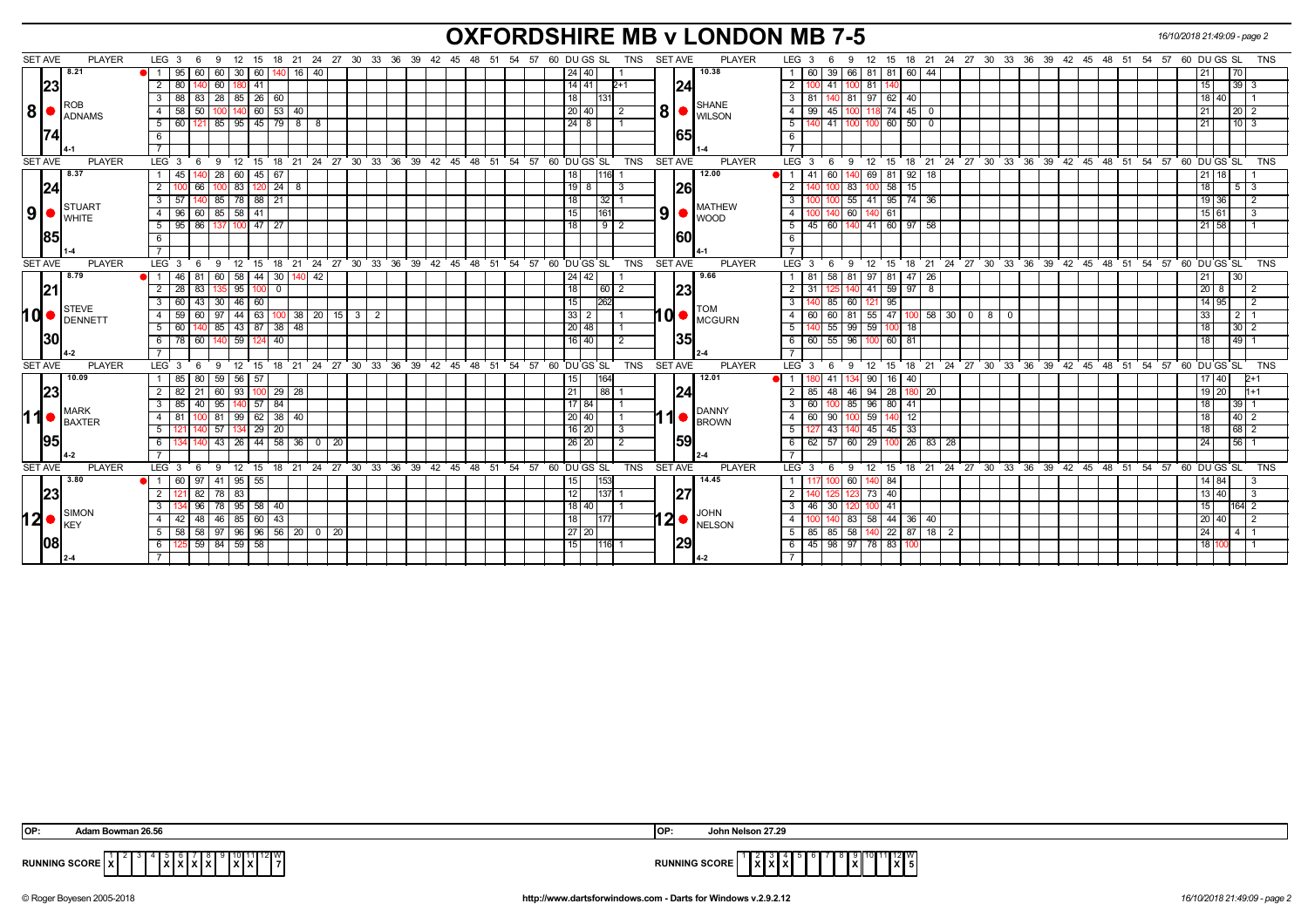## **OXFORDSHIRE MB v LONDON MB 7-5** *16/10/2018 21:49:09 - page 2*

| <b>SET AVE</b>    | <b>PLAYER</b>   | LEG 3<br>- 9<br>- 6                          |                                                     | 12 15 18 21 24 27 30 33 36 39 42 45 48 51 54 57                | 60 DU GS SL<br>SET AVE<br><b>PLAYER</b><br>TNS | 9 12 15 18 21 24 27 30 33 36 39 42 45 48 51 54 57<br>60 DU GS SL<br>TNS<br>LEG 3<br>-6               |
|-------------------|-----------------|----------------------------------------------|-----------------------------------------------------|----------------------------------------------------------------|------------------------------------------------|------------------------------------------------------------------------------------------------------|
|                   | 8.21            | 1 95                                         | 60 60 30 60 140 16 40                               |                                                                | 10.38<br>24 40                                 | 60   39   66   81   81   60   44<br>21<br>70                                                         |
| 23                |                 | $2 \mid 80$<br>140 60 180 41                 |                                                     |                                                                | $14$   41<br>$2+1$<br>124                      | $39 \mid 3$<br>2<br>100 41 100<br>81 140<br>15 <sub>1</sub>                                          |
|                   | ROB             | 83   28   85   26   60  <br>$3 \mid 88$      |                                                     |                                                                | 18 <sup>1</sup><br><b>SHANE</b>                | $\mathbf{3}$<br>140 81<br>97 62<br>40<br>-81<br>18   40                                              |
| 8 <br>$\bullet$ : | ADNAMS          | $4 \overline{58}$<br>50 <sup>1</sup><br>140  | 60 <br>53 40                                        |                                                                | 8<br>20 40<br>$\overline{2}$<br><b>WILSON</b>  | $\overline{4}$<br>99<br>$\sqrt{45}$<br>74<br>45<br>20 <sup>2</sup><br>100                            |
|                   |                 | $5 \ 60$                                     | $121 \mid 85 \mid 95 \mid 45 \mid 79 \mid 8 \mid 8$ |                                                                | $24 \mid 8$                                    | 140 41 100 100 60 50 0<br>5<br>1013<br>21                                                            |
|                   |                 | 6                                            |                                                     |                                                                | 165                                            | 6                                                                                                    |
|                   |                 |                                              |                                                     |                                                                |                                                | $\overline{7}$                                                                                       |
| <b>SET AVE</b>    | <b>PLAYER</b>   | LEG 3                                        |                                                     | 6 9 12 15 18 21 24 27 30 33 36 39 42 45 48 51 54 57 60 DUGS SL | <b>SET AVE</b><br><b>PLAYER</b><br>TNS         | $LEG \ 3 \ 6$<br>9 12 15 18 21 24 27 30 33 36 39 42 45 48 51 54 57 60 DUGSSL TNS                     |
|                   | 8.37            | $1 \overline{45}$<br>0 28 60 45 67           |                                                     |                                                                | 12.00<br>16I                                   | 69 81<br>$92$ 18<br>41<br>60<br><b>H</b> 1                                                           |
| 24                |                 | 2 <sup>1</sup><br>66<br>83<br>100            | 24<br>12<br>- 8                                     |                                                                | 26 <br>$19$ 8                                  | 83<br>15<br>2<br>58<br>$5 \mid 3$                                                                    |
|                   | STUART          | $3 \mid 57$<br>85 78 88                      | 21                                                  |                                                                | 18<br> 32 <br><b>MATHEW</b>                    | 55<br>41 95<br>$74$ 36<br>3<br>19 36                                                                 |
| ا9ا               | $\bullet$ WHITE | 60 85 58 41<br>4 96                          |                                                     |                                                                | 9<br>15<br>161<br>$\bullet$ WOOD               | 60<br>15 61<br>$\overline{4}$<br>140 61<br>40 I                                                      |
|                   |                 | 86<br>$100$ 47<br>5   95                     | l 27                                                |                                                                | $9$   2<br>18                                  | 5<br>45   60  <br>41 60<br>97<br>140<br>-58<br>21   58                                               |
| 185               |                 | 6                                            |                                                     |                                                                | 160                                            | 6                                                                                                    |
|                   |                 |                                              |                                                     |                                                                |                                                |                                                                                                      |
| <b>SET AVE</b>    | <b>PLAYER</b>   | LEG 3<br>- 6                                 |                                                     | 9 12 15 18 21 24 27 30 33 36 39 42 45 48 51 54 57 60 DUGSSL    | <b>TNS</b><br><b>SET AVE</b><br><b>PLAYER</b>  | 12 15 18 21 24 27 30 33 36 39 42 45 48 51 54 57 60 DUGS SL<br>LEG 3<br><b>TNS</b><br>- 6<br>- 9      |
|                   | 8.79            | $1 \overline{46}$<br>58<br>81<br>60          | 44<br>30 <sup>1</sup><br>-42                        |                                                                | 9.66<br>24   42                                | 58<br>81<br>97 81<br>47  <br>-81<br>-26<br>30                                                        |
| 21                |                 | 83 135 95<br>2   28                          | 100<br>$^{\circ}$                                   |                                                                | 18<br> 23<br>$\boxed{60}$ 2                    | 41 59 97<br>$\overline{2}$<br>31<br>140<br>$20\quad8$<br>- 8<br>1251                                 |
|                   | STEVE           | 43 30 46<br>$3 \mid 60$                      | 60                                                  |                                                                | 262<br>15<br>TOM                               | 60<br>3<br>85<br>121 95<br>14 95                                                                     |
| hd                | <b>IDENNETT</b> | $4 \mid 59$<br>44<br>60<br>97                | $\sqrt{63}$<br>$100 \ 38 \ 20 \ 15 \ 3$             | $\overline{2}$                                                 | 11 Ol<br>$33 \mid 2$<br><b>MCGURN</b>          | 81<br>$55$ 47 100 58 30 0 8<br>$\overline{4}$<br>60<br>$2 \mid 1$<br>60<br>$\mathbf{0}$<br>33        |
|                   |                 | 140 85 43 87 38 48<br>$5 \mid 60$            |                                                     |                                                                | $\overline{20 48}$                             | $55 \ 99 \ 59 \ 100$<br>5<br> 18 <br>$30 \mid 2$<br>18 <sup>1</sup><br>140                           |
| 130               |                 | 60 140 59<br>$6 \mid 78 \mid$                | 40<br>124                                           |                                                                | 135<br>$16$ 40<br>$\overline{2}$               | 60 55 96<br>49<br>6<br>100 60 81<br>18                                                               |
|                   | 4-2             |                                              |                                                     |                                                                |                                                |                                                                                                      |
| <b>SET AVE</b>    | <b>PLAYER</b>   | LEG <sub>3</sub><br>12<br>9<br>- 6           | ີ 15                                                | 18 21 24 27 30 33 36 39 42 45 48 51 54 57 60 DUGS SL           | TNS<br><b>SET AVE</b><br><b>PLAYER</b>         | LEG <sup>3</sup><br>18 21 24 27 30 33 36 39 42 45 48 51 54 57 60 DUGS SL<br>12 15<br>TNS<br>9<br>- 6 |
|                   | 10.09           | 80 59 56 57<br>1 85                          |                                                     |                                                                | 12.01<br>15<br>164                             | 40<br>41 I<br>$90$ 16<br>17   40  <br>$2+1$<br>I 1<br>134                                            |
| 23                |                 | 93<br>$2 \mid 82$<br>21<br>60                | 29   28                                             |                                                                | 88<br>21<br> 24                                | 46<br>94<br>$1 + 1$<br>28<br>85<br>48<br>-20<br>19 20<br>180                                         |
|                   | <b>MARK</b>     | $3 \mid 85$<br>40   95  <br>140 <sup>1</sup> | 57<br>84                                            |                                                                | $17$ 84<br>DANNY                               | 85<br>3<br>60<br>96 80<br>41<br>18<br>39                                                             |
| 11                | <b>BAXTER</b>   | 100 81 99 62 38 40<br>4   81                 |                                                     |                                                                | 20 40 <br><b>BROWN</b>                         | $\overline{12}$<br>$\overline{4}$<br>60<br>59 140<br>$40$ 2<br>90 <sub>1</sub><br>1001               |
|                   |                 | 5 <sup>1</sup><br>57<br>121<br>134 I         | 29<br>20                                            |                                                                | $16$   20                                      | 33<br>5<br>$45 \overline{)45}$<br>68 2<br>43                                                         |
| 195               |                 | 6<br>134                                     | 44<br>58 36<br>20<br>$\overline{0}$                 |                                                                | 59<br>26 20                                    | $62$ 57 60<br>26<br>56<br>6<br>29 100<br>$83 \mid 28$                                                |
|                   | 4-2             |                                              |                                                     |                                                                |                                                |                                                                                                      |
| <b>SET AVE</b>    | <b>PLAYER</b>   | LEG 3<br>6                                   |                                                     | 9 12 15 18 21 24 27 30 33 36 39 42 45 48 51 54 57 60 DUGS SL   | <b>SET AVE</b><br><b>PLAYER</b><br>TNS         | 12 15 18 21 24 27 30 33 36 39 42 45 48 51 54 57 60 DUGS SL<br>LEG 3<br>- 9<br><b>TNS</b><br>6        |
|                   | 3.80            | $97$ 41 95<br>$1 \quad 60$                   | 55                                                  |                                                                | 14.45<br>15<br>153                             | $100$ 60<br>140 84<br>14 84<br>$\overline{1}$                                                        |
| 123               |                 | 82 78 83<br>2 121                            |                                                     |                                                                | 12<br>127<br> 137  1                           | 2<br>73 40<br>13 40<br>-3<br>123<br>1251                                                             |
|                   | SIMON           | 96<br> 95 <br>3<br>l 78 I                    | 58<br>40                                            |                                                                | 18 40<br><b>JOHN</b>                           | $\mathbf{3}$<br>46<br>30<br>141                                                                      |
| <b>12∙</b>        | IKEY            | 85<br>$4 \mid 42$<br>48 46                   | 60<br>43                                            |                                                                | 12●<br>18<br><b>NELSON</b>                     | $\overline{4}$<br>83<br>58 44<br>36 <br>40<br>20140                                                  |
|                   |                 | 5 58 58 97 96 96 56 20 0 20                  |                                                     |                                                                | 27 20                                          | 85 85 58<br>$140$ 22 87 18 2<br>5<br>24<br>4 <sup>1</sup>                                            |
| 08                |                 | 125 59 84 59 58<br>6 I                       |                                                     |                                                                | 29<br>15<br>116 1                              | 45   98   97   78   83  <br>18 100<br>100<br>6                                                       |
|                   |                 |                                              |                                                     |                                                                |                                                |                                                                                                      |

| IOP:           | ™ 20.J |                      | ----            |
|----------------|--------|----------------------|-----------------|
| <b>RUNNING</b> | . .    | <b>RUNNING SCORE</b> | I X I 5 I<br>'^ |

© Roger Boyesen 2005-2018 **http://www.dartsforwindows.com - Darts for Windows v.2.9.2.12** *16/10/2018 21:49:09 - page 2*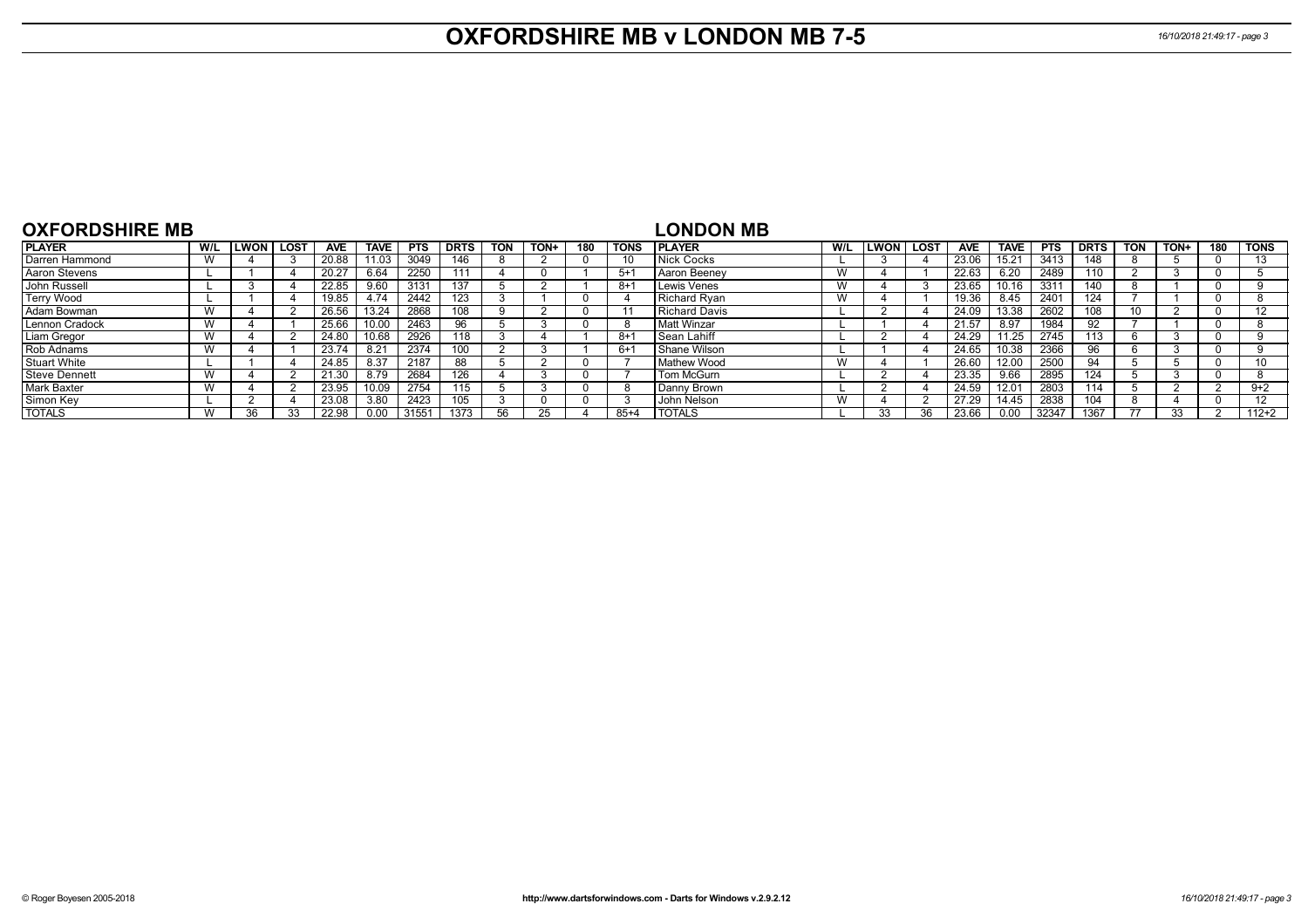## **OXFORDSHIRE MB v LONDON MB 7-5** *16/10/2018 21:49:17 - page 3*

| <b>OXFORDSHIRE MB</b> |     |      |             |            |             |            |             |            |      |     |             | <b>LONDON MB</b>   |     |      |        |            |             |            |             |            |      |          |             |
|-----------------------|-----|------|-------------|------------|-------------|------------|-------------|------------|------|-----|-------------|--------------------|-----|------|--------|------------|-------------|------------|-------------|------------|------|----------|-------------|
| <b>PLAYER</b>         | W/L | LWON | <b>LOST</b> | <b>AVE</b> | <b>TAVE</b> | <b>PTS</b> | <b>DRTS</b> | <b>TON</b> | TON+ | 180 | <b>TONS</b> | <b>I PLAYER</b>    | W/L | LWON | l LOST | <b>AVE</b> | <b>TAVE</b> | <b>PTS</b> | <b>DRTS</b> | <b>TON</b> | TON+ | 180      | <b>TONS</b> |
| Darren Hammond        | W   |      |             | 20.88      | 11.03       | 3049       | 146         |            |      |     | 10          | Nick Cocks         |     |      |        | 23.06      | 15.21       | 3413       | 148         |            |      | $\Omega$ |             |
| Aaron Stevens         |     |      |             | 20.27      | 6.64        | 2250       | 111         |            |      |     | $5 + 1$     | Aaron Beenev       | W   |      |        | 22.63      | 6.20        | 2489       | 110         |            |      |          |             |
| John Russell          |     |      |             | 22.85      | 9.60        | 3131       |             |            |      |     | -8+         | Lewis Venes        | W   |      |        | 23.65      | 10.16       | 331'       | 140         |            |      | -0       |             |
| Terry Wood            |     |      |             | 19.85      | 4.74        | 2442       | 123         |            |      |     |             | Richard Rvan       | W   |      |        | 19.36      | 8.45        | 2401       | 124         |            |      | $\Omega$ |             |
| <b>Adam Bowman</b>    | W   |      |             | 26.56      | 13.24       | 2868       | 108         |            |      |     | $\cdot$     | Richard Davis      |     |      |        | 24.09      | 13.38       | 2602       | 108         |            |      | $\Omega$ |             |
| Lennon Cradock        | W   |      |             | 25.66      | 10.00       | 2463       | 96          |            |      |     | -8          | Matt Winzar        |     |      |        | 21.57      | 8.97        | 1984       | 92          |            |      | 0        |             |
| Liam Gregor           | W   |      |             | 24.80      | 10.68       | 2926       | 118         |            |      |     | -8+         | l Sean Lahiff      |     |      |        | 24.29      | 11.25       | 2745       | 113         |            |      | $\Omega$ |             |
| Rob Adnams            | W   |      |             | 23.74      | 8.21        | 2374       |             |            |      |     | $6+$        | Shane Wilson       |     |      |        | 24.65      | 10.38       | 2366       | 96          |            |      | $\Omega$ |             |
| Stuart White          |     |      |             | 24.85      | 8.37        | 2187       | 88          |            |      |     |             | Mathew Wood        | W   |      |        | 26.60      | 12.00       | 2500       | 94          |            |      | $\Omega$ |             |
| <b>Steve Dennett</b>  | W   |      |             | 21.30      | 8.79        | 2684       | 126         |            |      |     |             | Tom McGurn         |     |      |        | 23.35      | 9.66        | 2895       | 124         |            |      |          |             |
| <b>Mark Baxter</b>    | W   |      |             | 23.95      | 10.09       | 2754       | 115         |            |      |     | 8           | Danny Brown        |     |      |        | 24.59      | 12.01       | 2803       | 114         |            |      |          | $9+2$       |
| Simon Key             |     |      |             | 23.08      | 3.80        | 2423       | 105         |            |      |     |             | <b>John Nelson</b> | W   |      |        | 27.29      | 14.45       | 2838       | 104         |            |      | $\Omega$ |             |
| <b>TOTALS</b>         | W   | 36   |             | 22.98      | 0.00        | 31551      | 1373        | 56.        |      |     | $85+4$      | <b>I TOTALS</b>    |     | 33   |        | 23.66      | 0.00        | 32347      | 1367        | 77         | 33   |          | $112+2$     |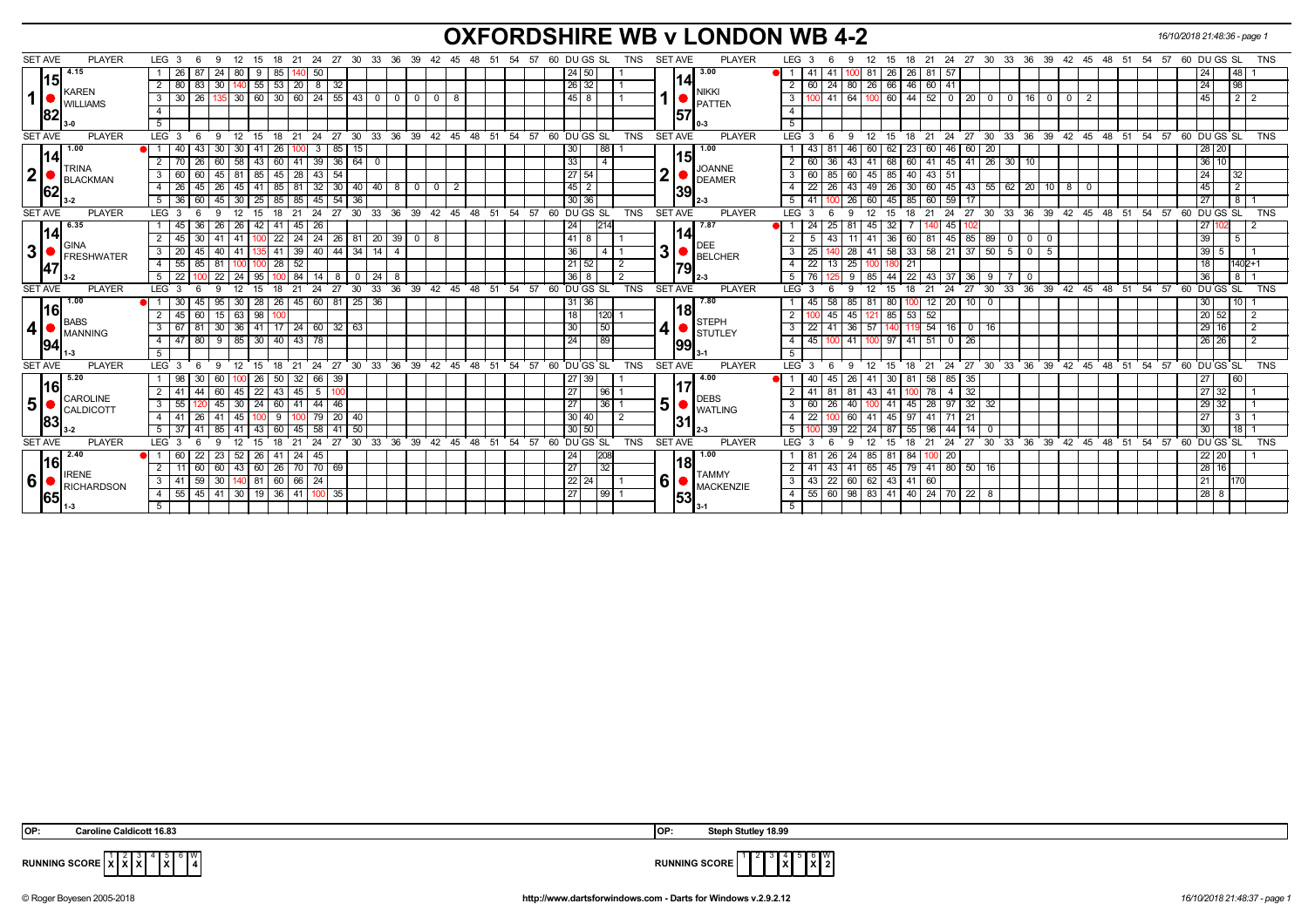## **OXFORDSHIRE WB v LONDON WB 4-2** *16/10/2018 21:48:36 - page 1*

| <b>SET AVE</b><br><b>PLAYER</b>     | LEG <sub>3</sub><br>-9<br>12             | - 24<br>15<br>18<br>- 21             | 27 30 33 36 39 42 45 48 51 54 57 60 DUGS SL |                                |             |          | TNS                                                 | <b>SET AVE</b><br><b>PLAYER</b> | 18  21  24  27  30  33  36  39  42  45  48  51  54  57  60  DU GS  SL<br>TNS<br>LEG 3<br>12<br>9<br>- 15                    |
|-------------------------------------|------------------------------------------|--------------------------------------|---------------------------------------------|--------------------------------|-------------|----------|-----------------------------------------------------|---------------------------------|-----------------------------------------------------------------------------------------------------------------------------|
| 4.15                                | 87<br>24<br>80<br>26                     | 50<br>9<br>85                        |                                             |                                |             |          | 24<br>50                                            | 3.00                            | 26<br>26<br>48 I<br>-81<br>81  <br>57<br>24                                                                                 |
| 15                                  | 83<br>30<br>2   80                       | 55<br>53<br>8<br>$\vert 20 \vert$    | 32                                          |                                |             |          | 26 32                                               | 14I                             | 66 46<br>60   41<br>98<br>80<br>26<br>24<br>2<br>60<br>24 I                                                                 |
| KAREN<br>1 <sup>1</sup>             | 26<br>$3 \mid 30$<br>35 30               | 60<br>$30   60$<br>24                | $55 \mid 43$<br>$\mathbf 0$<br>- 0          | $\mathbf 0$<br>$\overline{0}$  |             |          | 45<br>8                                             | <b>NIKKI</b>                    | $60 \mid 44$<br>$52$ 0 20<br>45<br>$2$   $2$<br>41<br>64<br>3<br>0   16<br>0 I<br>$\overline{0}$<br>$^{\circ}$              |
| <b>WILLIAMS</b><br>82               | $\overline{4}$                           |                                      |                                             |                                |             |          |                                                     | PATTEN<br>57                    | 4                                                                                                                           |
|                                     | 5                                        |                                      |                                             |                                |             |          |                                                     |                                 | $\overline{5}$                                                                                                              |
| <b>SET AVE</b><br><b>PLAYER</b>     | LEG <sub>3</sub><br>-9<br>12             | 24<br>18<br>21<br>15                 | 27<br>30<br>33<br>36                        | 39 <sup>°</sup>                | 42 45 48 51 | 54 57    | 60 DU GS SL<br><b>TNS</b>                           | SET AVE<br><b>PLAYER</b>        | 33 36 39 42 45 48 51 54 57 60 DUGS SL<br><b>TNS</b><br>LEG 3<br>$^{\circ}$ 24<br>$27 \quad 30$<br>12<br>15<br>18<br>21<br>9 |
| 1.00                                | 43<br>-30<br>-30                         | 3<br>41<br>26                        | 85 15                                       |                                |             |          | 88<br>30                                            | 1.00                            | 23<br>28 20<br>46<br>62<br>46<br>60<br>60 I<br>-20<br>43<br>60                                                              |
| 14<br><b>TRINA</b>                  | 26<br>2<br>58                            | 39<br>43<br>l 41<br>60               | 36 64<br>$^{\circ}$                         |                                |             |          | 33<br>$\overline{4}$                                | 15<br><b>JOANNE</b>             | $36 \overline{10}$<br>60<br>68<br>$45 \mid 41$<br>$26$ 30<br>43<br>-41<br>41<br>10                                          |
| 2 <sup>1</sup><br><b>BLACKMAN</b>   | $3 \quad 60$<br>60<br>$45 \mid 81$       | 43<br>85<br>$45 \mid 28$             | 54                                          |                                |             |          | 27 <br>54                                           | 2<br><b>DEAMER</b>              | 24<br>85 40<br>$\mathbf{3}$<br>60<br>45<br> 43 51<br>32<br>60<br>85                                                         |
| 62                                  | 45<br>$4 \overline{26}$<br>26<br> 45     | 411<br>85 81                         | 32 30 40 40 8 0                             | $\mathbf{0}$<br>$\overline{2}$ |             |          | 45<br>$\overline{2}$                                | 139                             | 49   26   30   60   45   43   55   62   20   10   8   0<br>45<br>$\overline{2}$<br>22<br>43<br>$\overline{4}$<br><b>26</b>  |
|                                     | 60<br>$5 \mid 36$                        | 45 30 25 85 85                       | $145$ 54 36                                 |                                |             |          | 30 36                                               |                                 | 27<br>8<br>5<br>100 26 60 45 85 60 59 17<br>-41                                                                             |
| <b>SET AVE</b><br><b>PLAYER</b>     | LEG <sub>3</sub><br>9<br>12<br>6         | 24<br>15<br>18<br>- 21               | 27 30 33 36 39 42 45 48 51 54 57            |                                |             |          | 60 DU GS SL<br><b>TNS</b>                           | SET AVE<br><b>PLAYER</b>        | 27 30 33 36 39 42 45 48 51 54 57 60 DUGS SL<br>LEG <sub>3</sub><br>12<br>18<br>21<br>-24<br><b>TNS</b><br>9                 |
| 6.35<br> 14                         | 36<br>26<br>l 26<br>1145                 | 42<br>26<br>41<br>l 45               |                                             |                                |             |          | 214<br> 24                                          | 7.87<br>141                     | 32<br>2711<br>24<br>25 <sub>1</sub><br>45  <br>45<br>M 1<br>81                                                              |
| GINA                                | 30 <sup>1</sup><br>2   45<br>41   41     | 24<br>$22$   24<br>100               | $20 \mid 39 \mid 0$<br>26 81                | 8                              |             |          | 41<br>8                                             | <b>DEE</b>                      | 39<br>$60$   81   45   85   89   0   0<br>5<br>-36 I<br>43<br>41 <sup>1</sup><br>-11 I<br>- 0                               |
| 3 <br><b>FRESHWATER</b>             | $3 \mid 20$<br>45<br>40   41             | 41 39 40 44 34<br>1351               | 14<br>$\overline{4}$                        |                                |             |          | 36<br>$4 \mid 1$                                    | 3<br><b>BELCHER</b>             | 41   58   33   58   21   37  <br>$\overline{\cdot \cdot \cdot}$<br>50150<br>$39$ 5<br>25<br>40 28<br>5                      |
| 47                                  | 85<br>$4 \mid 55$<br>81   100            | 100                                  |                                             |                                |             |          | $21 \overline{)52}$<br>$\overline{2}$               | 79                              | $22$   13   25   100<br>$1402 + 1$<br>$\overline{4}$<br>18<br>21                                                            |
|                                     | $5 \overline{22}$<br>22<br>$\sqrt{24}$   | 95<br>$100$ 84<br>14                 | $8 \mid 0 \mid 24$<br>- 8                   |                                |             |          | 36 <br>8<br>l 2                                     |                                 | 5<br>$44$ 22<br>36<br>$8 \mid 1$<br>76 I<br>-9<br>85<br>43 37 36<br>$\sqrt{9}$<br>70                                        |
| <b>SET AVE</b><br><b>PLAYER</b>     | 9<br>LEG <sub>3</sub><br>12<br>-6        | 21<br>24<br>27<br>15<br>18           | 30                                          |                                |             |          | 33 36 39 42 45 48 51 54 57 60 DUGS SL<br><b>TNS</b> | SET AVE<br><b>PLAYER</b>        | 24<br>27 30 33 36 39 42 45 48 51 54 57 60 DUGS SL<br>$LEG^3$ 3<br>12<br>15<br>18<br>21<br>TNS<br>9                          |
| 1.00<br> 16                         | 45<br>30<br>95                           | 28<br>$26 \mid 45$<br>60             | $81 \ 25$<br>36                             |                                |             |          | 31 36                                               | 7.80<br> 18                     | $20   10$<br>12<br>10 <sup>1</sup><br>45<br>58<br>85<br>80<br>$\overline{\mathbf{0}}$<br>30<br>-81<br>100                   |
| <b>BABS</b>                         | 60<br>$2 \mid 45$<br>$15 \mid 63$        | 98                                   |                                             |                                |             |          | 18<br>120                                           | <b>STEPH</b>                    | 20 52<br>45<br>$85$ 53<br>45<br>52<br>$\overline{2}$<br>121                                                                 |
| $\boldsymbol{4}$<br><b>IMANNING</b> | $3 \mid 67$<br>81<br>$30 \mid 36 \mid$   | 41<br>$17$ $24$ 60 32 63             |                                             |                                |             |          | 30<br> 50                                           | 4<br><b>STUTLEY</b>             | 41 36 57<br>140 119 54 16 0<br>$29$ 16<br>$\overline{3}$<br>22<br>$\overline{2}$<br>  16                                    |
| 94                                  | 80<br>$9 \mid 85$<br>$4 \mid 47$<br>5    | 30   40   43<br>78                   |                                             |                                |             |          | 89<br>24                                            | 99<br>$3 - 1$                   | 100 41<br>$100$ 97 41 51 0 26<br>26 26<br>$\overline{4}$<br>45<br>$\overline{2}$<br>5                                       |
| <b>SET AVE</b><br><b>PLAYER</b>     | LEG <sub>3</sub><br>9<br>12<br>- 6       | $21 \quad 24$<br>15<br>$^{\circ}$ 18 | 27 30 33 36 39                              |                                |             |          | 42 45 48 51 54 57 60 DUGS SL<br>TNS                 | SET AVE<br><b>PLAYER</b>        | 21 24 27 30 33 36 39 42 45 48 51 54 57 60 DUGS SL<br>LEG <sub>3</sub><br>12<br>15<br>18<br>TNS<br>- 6<br>-9                 |
| 5.20                                |                                          | 26<br>32<br>66<br>50                 | -39                                         |                                |             |          | 27<br>39                                            | 4.00                            | 85 I<br>26<br>-58<br>35<br>41<br>30<br>27                                                                                   |
| 16                                  | 2   41<br>44<br>-45                      | $\overline{22}$<br>5<br>43<br>l 45   |                                             |                                |             |          | 27<br>96                                            |                                 | 32<br>27 32<br>43 I<br>78<br>-41<br>4                                                                                       |
| CAROLINE<br>5 <sup>1</sup>          | $3 \mid 55$<br>30                        | $-44$<br>24<br>l 41<br>60 l          | 46                                          |                                |             |          | 27<br> 36 1                                         | <b>DEBS</b><br>5 <sup>1</sup>   | $\sqrt{32}$<br>40<br>45<br>$29 \mid 32$<br>$\mathbf{3}$<br>41<br>$28$   97<br>32<br>60                                      |
| CALDICOTT                           | 26<br>$\overline{145}$<br>4   41         | 79                                   | $20 \mid 40$                                |                                |             |          | 30<br>$\overline{2}$<br>40                          | <b>WATLING</b>                  | $\overline{4}$<br>60<br>45<br>$3 \mid 1$<br>22<br>41<br>27<br>97<br>41<br>21                                                |
| 83                                  | $5 \mid 37$<br>l 41                      | 58<br>43<br>60<br>45                 | 50<br>41                                    |                                |             |          | 30 50                                               | 31                              | $\overline{22}$<br>14<br>30<br>18<br>5<br>39 <sup>1</sup><br>-24<br>87<br>55<br>98<br>44<br>- 0                             |
| <b>SET AVE</b><br><b>PLAYER</b>     | LEG <sup>3</sup><br><b>g</b>             | 24<br>27<br>21<br>18                 | 36<br>30<br>33                              | 39<br>42<br>45                 | 48<br>51    | 54<br>57 | 60 DUGS SL<br><b>TNS</b>                            | <b>SET AVE</b><br><b>PLAYER</b> | 36<br>39<br>$60$ DU GS SL<br><b>TNS</b><br><b>LEG</b><br>27<br>30<br>33<br>42<br>45<br>48<br>51<br>54<br>57<br>24<br>21     |
| 2.40                                | 22<br>-60<br>23<br>52                    | 26<br>45<br>41<br>-24                |                                             |                                |             |          | 24<br>208                                           | 1.00                            | 84<br>22 20<br>24<br>85<br>20                                                                                               |
| 16                                  | <sup>2</sup><br>60<br>60   43            | 60<br>70 69<br>$26$ 70               |                                             |                                |             |          | 27<br>32                                            | 18l                             | 28 16<br>45 79 41 80 50<br>$\overline{2}$<br>65<br>41<br>41<br>16<br>43                                                     |
| <b>IRENE</b><br>6<br>RICHARDSON     | 59<br>30   140   81<br>$3 \overline{41}$ | 60 66<br>24                          |                                             |                                |             |          | 22<br>24                                            | <b>TAMMY</b><br>6<br>MACKENZIE  | 21<br>$\mathbf{3}$<br>43<br>22<br>60                                                                                        |
| 65                                  | $4 \mid 55$                              | 45 41 30 19 36 41 100 35             |                                             |                                |             |          | 27<br>99 1                                          | 53                              | 28 8<br>55 60 98 83 41 40 24 70 22 8<br>$\overline{4}$                                                                      |
|                                     | 5                                        |                                      |                                             |                                |             |          |                                                     |                                 | 5                                                                                                                           |
|                                     |                                          |                                      |                                             |                                |             |          |                                                     |                                 |                                                                                                                             |

| DP: |  | <b>Caroline Caldicott 16.83</b> |  |
|-----|--|---------------------------------|--|
|-----|--|---------------------------------|--|

 **OP: Caroline Caldicott 16.83 OP: Steph Stutley 18.99**



**RUNNING SCORE X** 6 **X** W **2**

**RUNNING SCORE**  $\begin{bmatrix} 1 & 2 & 3 \\ X & X & X \end{bmatrix}$